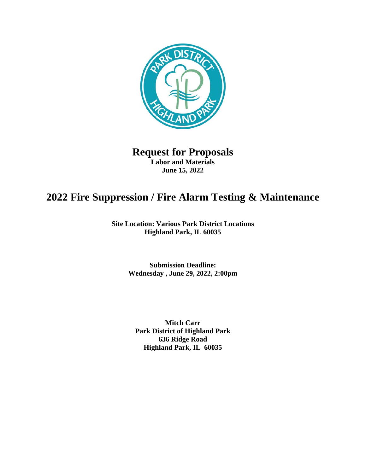

# **Request for Proposals Labor and Materials June 15, 2022**

# **2022 Fire Suppression / Fire Alarm Testing & Maintenance**

**Site Location: Various Park District Locations Highland Park, IL 60035**

> **Submission Deadline: Wednesday , June 29, 2022, 2:00pm**

**Mitch Carr Park District of Highland Park 636 Ridge Road Highland Park, IL 60035**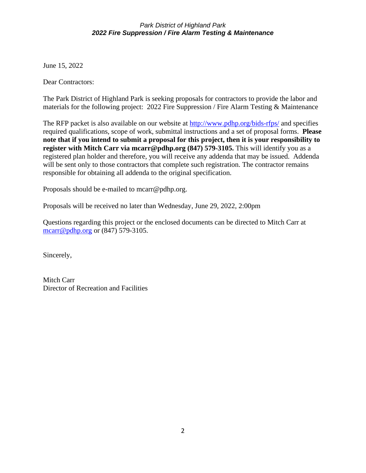June 15, 2022

Dear Contractors:

The Park District of Highland Park is seeking proposals for contractors to provide the labor and materials for the following project: 2022 Fire Suppression / Fire Alarm Testing & Maintenance

The RFP packet is also available on our website at<http://www.pdhp.org/bids-rfps/> and specifies required qualifications, scope of work, submittal instructions and a set of proposal forms. **Please note that if you intend to submit a proposal for this project, then it is your responsibility to register with Mitch Carr via mcarr@pdhp.org (847) 579-3105.** This will identify you as a registered plan holder and therefore, you will receive any addenda that may be issued. Addenda will be sent only to those contractors that complete such registration. The contractor remains responsible for obtaining all addenda to the original specification.

Proposals should be e-mailed to mcarr@pdhp.org.

Proposals will be received no later than Wednesday, June 29, 2022, 2:00pm

Questions regarding this project or the enclosed documents can be directed to Mitch Carr at [mcarr@pdhp.org](mailto:mcarr@pdhp.org) or (847) 579-3105.

Sincerely,

Mitch Carr Director of Recreation and Facilities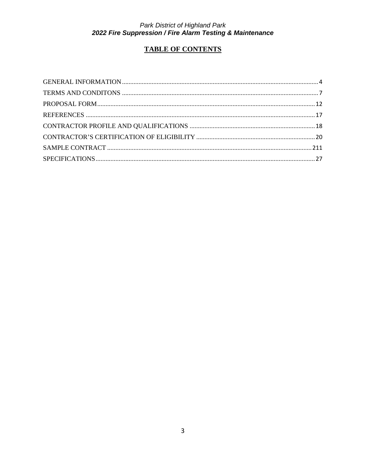# **TABLE OF CONTENTS**

<span id="page-2-0"></span>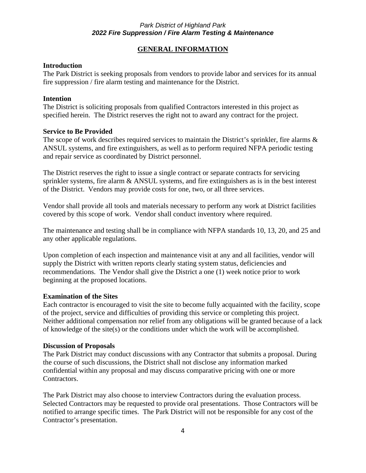# **GENERAL INFORMATION**

#### **Introduction**

The Park District is seeking proposals from vendors to provide labor and services for its annual fire suppression / fire alarm testing and maintenance for the District.

#### **Intention**

The District is soliciting proposals from qualified Contractors interested in this project as specified herein. The District reserves the right not to award any contract for the project.

#### **Service to Be Provided**

The scope of work describes required services to maintain the District's sprinkler, fire alarms  $\&$ ANSUL systems, and fire extinguishers, as well as to perform required NFPA periodic testing and repair service as coordinated by District personnel.

The District reserves the right to issue a single contract or separate contracts for servicing sprinkler systems, fire alarm & ANSUL systems, and fire extinguishers as is in the best interest of the District. Vendors may provide costs for one, two, or all three services.

Vendor shall provide all tools and materials necessary to perform any work at District facilities covered by this scope of work. Vendor shall conduct inventory where required.

The maintenance and testing shall be in compliance with NFPA standards 10, 13, 20, and 25 and any other applicable regulations.

Upon completion of each inspection and maintenance visit at any and all facilities, vendor will supply the District with written reports clearly stating system status, deficiencies and recommendations. The Vendor shall give the District a one (1) week notice prior to work beginning at the proposed locations.

#### **Examination of the Sites**

Each contractor is encouraged to visit the site to become fully acquainted with the facility, scope of the project, service and difficulties of providing this service or completing this project. Neither additional compensation nor relief from any obligations will be granted because of a lack of knowledge of the site(s) or the conditions under which the work will be accomplished.

#### **Discussion of Proposals**

The Park District may conduct discussions with any Contractor that submits a proposal. During the course of such discussions, the District shall not disclose any information marked confidential within any proposal and may discuss comparative pricing with one or more Contractors.

The Park District may also choose to interview Contractors during the evaluation process. Selected Contractors may be requested to provide oral presentations. Those Contractors will be notified to arrange specific times. The Park District will not be responsible for any cost of the Contractor's presentation.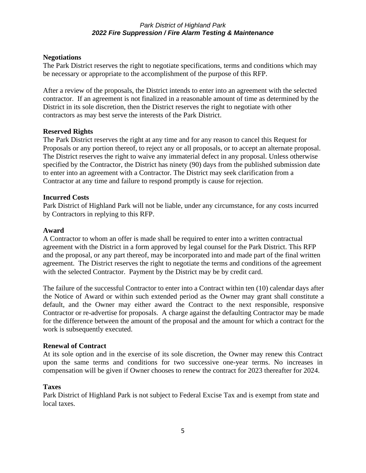#### **Negotiations**

The Park District reserves the right to negotiate specifications, terms and conditions which may be necessary or appropriate to the accomplishment of the purpose of this RFP.

After a review of the proposals, the District intends to enter into an agreement with the selected contractor. If an agreement is not finalized in a reasonable amount of time as determined by the District in its sole discretion, then the District reserves the right to negotiate with other contractors as may best serve the interests of the Park District.

#### **Reserved Rights**

The Park District reserves the right at any time and for any reason to cancel this Request for Proposals or any portion thereof, to reject any or all proposals, or to accept an alternate proposal. The District reserves the right to waive any immaterial defect in any proposal. Unless otherwise specified by the Contractor, the District has ninety (90) days from the published submission date to enter into an agreement with a Contractor. The District may seek clarification from a Contractor at any time and failure to respond promptly is cause for rejection.

#### **Incurred Costs**

Park District of Highland Park will not be liable, under any circumstance, for any costs incurred by Contractors in replying to this RFP.

#### **Award**

A Contractor to whom an offer is made shall be required to enter into a written contractual agreement with the District in a form approved by legal counsel for the Park District. This RFP and the proposal, or any part thereof, may be incorporated into and made part of the final written agreement. The District reserves the right to negotiate the terms and conditions of the agreement with the selected Contractor. Payment by the District may be by credit card.

The failure of the successful Contractor to enter into a Contract within ten (10) calendar days after the Notice of Award or within such extended period as the Owner may grant shall constitute a default, and the Owner may either award the Contract to the next responsible, responsive Contractor or re-advertise for proposals. A charge against the defaulting Contractor may be made for the difference between the amount of the proposal and the amount for which a contract for the work is subsequently executed.

#### **Renewal of Contract**

At its sole option and in the exercise of its sole discretion, the Owner may renew this Contract upon the same terms and conditions for two successive one-year terms. No increases in compensation will be given if Owner chooses to renew the contract for 2023 thereafter for 2024.

#### **Taxes**

Park District of Highland Park is not subject to Federal Excise Tax and is exempt from state and local taxes.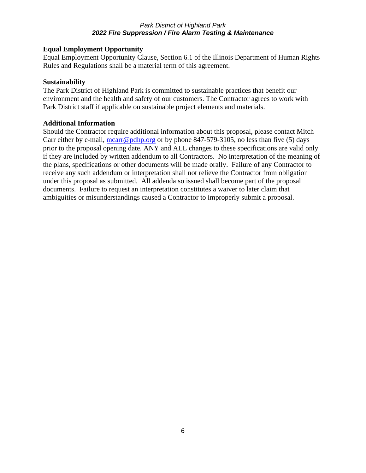# **Equal Employment Opportunity**

Equal Employment Opportunity Clause, Section 6.1 of the Illinois Department of Human Rights Rules and Regulations shall be a material term of this agreement.

# **Sustainability**

The Park District of Highland Park is committed to sustainable practices that benefit our environment and the health and safety of our customers. The Contractor agrees to work with Park District staff if applicable on sustainable project elements and materials.

# **Additional Information**

Should the Contractor require additional information about this proposal, please contact Mitch Carr either by e-mail, mearr@pdhp.org or by phone 847-579-3105, no less than five (5) days prior to the proposal opening date. ANY and ALL changes to these specifications are valid only if they are included by written addendum to all Contractors. No interpretation of the meaning of the plans, specifications or other documents will be made orally. Failure of any Contractor to receive any such addendum or interpretation shall not relieve the Contractor from obligation under this proposal as submitted. All addenda so issued shall become part of the proposal documents. Failure to request an interpretation constitutes a waiver to later claim that ambiguities or misunderstandings caused a Contractor to improperly submit a proposal.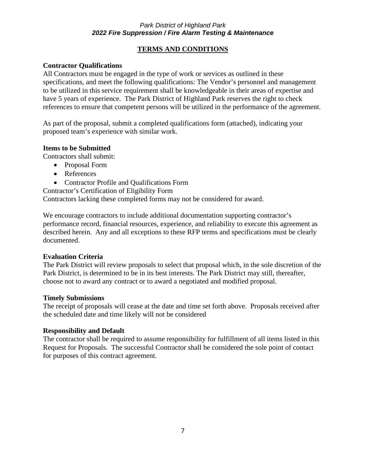# **TERMS AND CONDITIONS**

# **Contractor Qualifications**

All Contractors must be engaged in the type of work or services as outlined in these specifications, and meet the following qualifications: The Vendor's personnel and management to be utilized in this service requirement shall be knowledgeable in their areas of expertise and have 5 years of experience. The Park District of Highland Park reserves the right to check references to ensure that competent persons will be utilized in the performance of the agreement.

As part of the proposal, submit a completed qualifications form (attached), indicating your proposed team's experience with similar work.

# **Items to be Submitted**

Contractors shall submit:

- Proposal Form
- References
- Contractor Profile and Qualifications Form

Contractor's Certification of Eligibility Form

Contractors lacking these completed forms may not be considered for award.

We encourage contractors to include additional documentation supporting contractor's performance record, financial resources, experience, and reliability to execute this agreement as described herein. Any and all exceptions to these RFP terms and specifications must be clearly documented.

# **Evaluation Criteria**

The Park District will review proposals to select that proposal which, in the sole discretion of the Park District, is determined to be in its best interests. The Park District may still, thereafter, choose not to award any contract or to award a negotiated and modified proposal.

# **Timely Submissions**

The receipt of proposals will cease at the date and time set forth above. Proposals received after the scheduled date and time likely will not be considered

# **Responsibility and Default**

The contractor shall be required to assume responsibility for fulfillment of all items listed in this Request for Proposals. The successful Contractor shall be considered the sole point of contact for purposes of this contract agreement.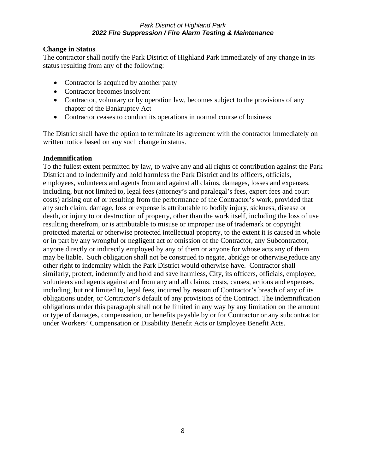# **Change in Status**

The contractor shall notify the Park District of Highland Park immediately of any change in its status resulting from any of the following:

- Contractor is acquired by another party
- Contractor becomes insolvent
- Contractor, voluntary or by operation law, becomes subject to the provisions of any chapter of the Bankruptcy Act
- Contractor ceases to conduct its operations in normal course of business

The District shall have the option to terminate its agreement with the contractor immediately on written notice based on any such change in status.

# **Indemnification**

To the fullest extent permitted by law, to waive any and all rights of contribution against the Park District and to indemnify and hold harmless the Park District and its officers, officials, employees, volunteers and agents from and against all claims, damages, losses and expenses, including, but not limited to, legal fees (attorney's and paralegal's fees, expert fees and court costs) arising out of or resulting from the performance of the Contractor's work, provided that any such claim, damage, loss or expense is attributable to bodily injury, sickness, disease or death, or injury to or destruction of property, other than the work itself, including the loss of use resulting therefrom, or is attributable to misuse or improper use of trademark or copyright protected material or otherwise protected intellectual property, to the extent it is caused in whole or in part by any wrongful or negligent act or omission of the Contractor, any Subcontractor, anyone directly or indirectly employed by any of them or anyone for whose acts any of them may be liable. Such obligation shall not be construed to negate, abridge or otherwise reduce any other right to indemnity which the Park District would otherwise have. Contractor shall similarly, protect, indemnify and hold and save harmless, City, its officers, officials, employee, volunteers and agents against and from any and all claims, costs, causes, actions and expenses, including, but not limited to, legal fees, incurred by reason of Contractor's breach of any of its obligations under, or Contractor's default of any provisions of the Contract. The indemnification obligations under this paragraph shall not be limited in any way by any limitation on the amount or type of damages, compensation, or benefits payable by or for Contractor or any subcontractor under Workers' Compensation or Disability Benefit Acts or Employee Benefit Acts.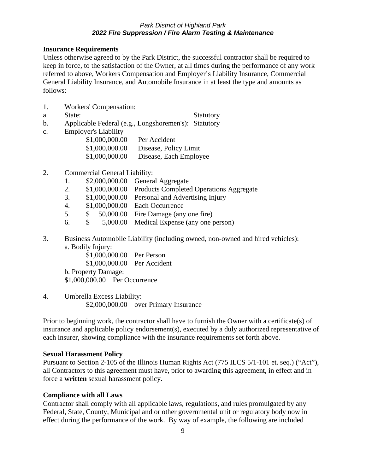#### **Insurance Requirements**

Unless otherwise agreed to by the Park District, the successful contractor shall be required to keep in force, to the satisfaction of the Owner, at all times during the performance of any work referred to above, Workers Compensation and Employer's Liability Insurance, Commercial General Liability Insurance, and Automobile Insurance in at least the type and amounts as follows:

- 1. Workers' Compensation:
- a. State: Statutory

- b. Applicable Federal (e.g., Longshoremen's): Statutory
- c. Employer's Liability

| \$1,000,000.00 | Per Accident           |
|----------------|------------------------|
| \$1,000,000.00 | Disease, Policy Limit  |
| \$1,000,000.00 | Disease, Each Employee |

# 2. Commercial General Liability:

- 1. \$2,000,000.00 General Aggregate
- 2. \$1,000,000.00 Products Completed Operations Aggregate
- 3. \$1,000,000.00 Personal and Advertising Injury
- 4. \$1,000,000.00 Each Occurrence
- 5. \$ 50,000.00 Fire Damage (any one fire)
- 6. \$ 5,000.00 Medical Expense (any one person)
- 3. Business Automobile Liability (including owned, non-owned and hired vehicles): a. Bodily Injury:

\$1,000,000.00 Per Person \$1,000,000.00 Per Accident b. Property Damage: \$1,000,000.00 Per Occurrence

4. Umbrella Excess Liability: \$2,000,000.00 over Primary Insurance

Prior to beginning work, the contractor shall have to furnish the Owner with a certificate(s) of insurance and applicable policy endorsement(s), executed by a duly authorized representative of each insurer, showing compliance with the insurance requirements set forth above.

# **Sexual Harassment Policy**

Pursuant to Section 2-105 of the Illinois Human Rights Act (775 ILCS 5/1-101 et. seq.) ("Act"), all Contractors to this agreement must have, prior to awarding this agreement, in effect and in force a **written** sexual harassment policy.

# **Compliance with all Laws**

Contractor shall comply with all applicable laws, regulations, and rules promulgated by any Federal, State, County, Municipal and or other governmental unit or regulatory body now in effect during the performance of the work. By way of example, the following are included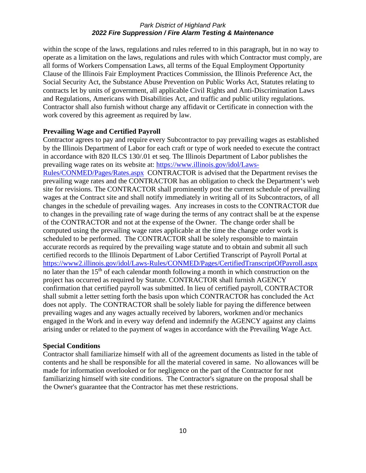within the scope of the laws, regulations and rules referred to in this paragraph, but in no way to operate as a limitation on the laws, regulations and rules with which Contractor must comply, are all forms of Workers Compensation Laws, all terms of the Equal Employment Opportunity Clause of the Illinois Fair Employment Practices Commission, the Illinois Preference Act, the Social Security Act, the Substance Abuse Prevention on Public Works Act, Statutes relating to contracts let by units of government, all applicable Civil Rights and Anti-Discrimination Laws and Regulations, Americans with Disabilities Act, and traffic and public utility regulations. Contractor shall also furnish without charge any affidavit or Certificate in connection with the work covered by this agreement as required by law.

#### **Prevailing Wage and Certified Payroll**

Contractor agrees to pay and require every Subcontractor to pay prevailing wages as established by the Illinois Department of Labor for each craft or type of work needed to execute the contract in accordance with 820 ILCS 130/.01 et seq. The Illinois Department of Labor publishes the prevailing wage rates on its website at: [https://www.illinois.gov/idol/Laws-](https://www.illinois.gov/idol/Laws-Rules/CONMED/Pages/Rates.aspx)

[Rules/CONMED/Pages/Rates.aspx](https://www.illinois.gov/idol/Laws-Rules/CONMED/Pages/Rates.aspx) CONTRACTOR is advised that the Department revises the prevailing wage rates and the CONTRACTOR has an obligation to check the Department's web site for revisions. The CONTRACTOR shall prominently post the current schedule of prevailing wages at the Contract site and shall notify immediately in writing all of its Subcontractors, of all changes in the schedule of prevailing wages. Any increases in costs to the CONTRACTOR due to changes in the prevailing rate of wage during the terms of any contract shall be at the expense of the CONTRACTOR and not at the expense of the Owner. The change order shall be computed using the prevailing wage rates applicable at the time the change order work is scheduled to be performed. The CONTRACTOR shall be solely responsible to maintain accurate records as required by the prevailing wage statute and to obtain and submit all such certified records to the Illinois Department of Labor Certified Transcript of Payroll Portal at <https://www2.illinois.gov/idol/Laws-Rules/CONMED/Pages/CertifiedTranscriptOfPayroll.aspx> no later than the 15<sup>th</sup> of each calendar month following a month in which construction on the project has occurred as required by Statute. CONTRACTOR shall furnish AGENCY confirmation that certified payroll was submitted. In lieu of certified payroll, CONTRACTOR shall submit a letter setting forth the basis upon which CONTRACTOR has concluded the Act does not apply. The CONTRACTOR shall be solely liable for paying the difference between prevailing wages and any wages actually received by laborers, workmen and/or mechanics engaged in the Work and in every way defend and indemnify the AGENCY against any claims arising under or related to the payment of wages in accordance with the Prevailing Wage Act.

#### **Special Conditions**

Contractor shall familiarize himself with all of the agreement documents as listed in the table of contents and he shall be responsible for all the material covered in same. No allowances will be made for information overlooked or for negligence on the part of the Contractor for not familiarizing himself with site conditions. The Contractor's signature on the proposal shall be the Owner's guarantee that the Contractor has met these restrictions.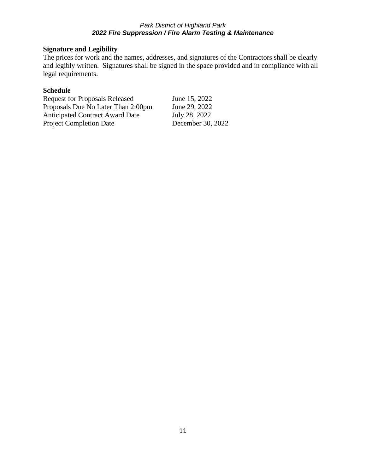# **Signature and Legibility**

The prices for work and the names, addresses, and signatures of the Contractors shall be clearly and legibly written. Signatures shall be signed in the space provided and in compliance with all legal requirements.

# **Schedule**

| June 15, 2022     |
|-------------------|
| June 29, 2022     |
| July 28, 2022     |
| December 30, 2022 |
|                   |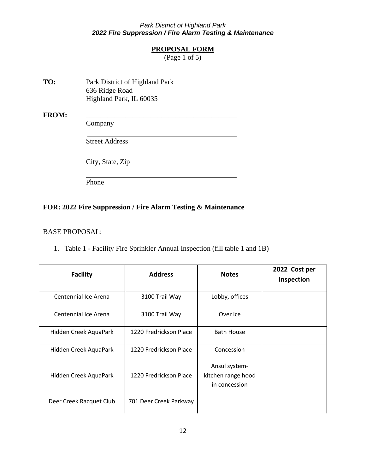# **PROPOSAL FORM**

(Page 1 of 5)

<span id="page-11-0"></span>**TO:** Park District of Highland Park 636 Ridge Road Highland Park, IL 60035

FROM:

Company

Street Address

City, State, Zip

Phone

# **FOR: 2022 Fire Suppression / Fire Alarm Testing & Maintenance**

#### BASE PROPOSAL:

1. Table 1 - Facility Fire Sprinkler Annual Inspection (fill table 1 and 1B)

| <b>Facility</b>         | <b>Address</b>         | <b>Notes</b>                                         | 2022 Cost per<br>Inspection |
|-------------------------|------------------------|------------------------------------------------------|-----------------------------|
| Centennial Ice Arena    | 3100 Trail Way         | Lobby, offices                                       |                             |
| Centennial Ice Arena    | 3100 Trail Way         | Over ice                                             |                             |
| Hidden Creek AquaPark   | 1220 Fredrickson Place | <b>Bath House</b>                                    |                             |
| Hidden Creek AquaPark   | 1220 Fredrickson Place | Concession                                           |                             |
| Hidden Creek AquaPark   | 1220 Fredrickson Place | Ansul system-<br>kitchen range hood<br>in concession |                             |
| Deer Creek Racquet Club | 701 Deer Creek Parkway |                                                      |                             |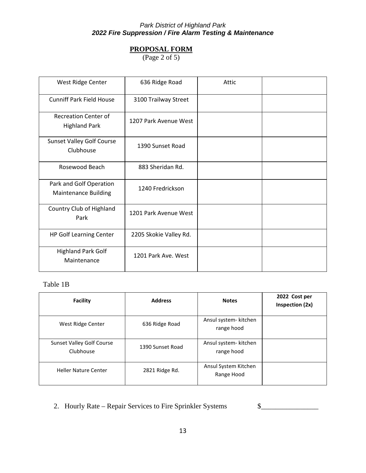# **PROPOSAL FORM**

(Page 2 of 5)

| West Ridge Center                                      | 636 Ridge Road         | Attic |  |
|--------------------------------------------------------|------------------------|-------|--|
| <b>Cunniff Park Field House</b>                        | 3100 Trailway Street   |       |  |
| <b>Recreation Center of</b><br><b>Highland Park</b>    | 1207 Park Avenue West  |       |  |
| <b>Sunset Valley Golf Course</b><br>Clubhouse          | 1390 Sunset Road       |       |  |
| Rosewood Beach                                         | 883 Sheridan Rd.       |       |  |
| Park and Golf Operation<br><b>Maintenance Building</b> | 1240 Fredrickson       |       |  |
| Country Club of Highland<br>Park                       | 1201 Park Avenue West  |       |  |
| HP Golf Learning Center                                | 2205 Skokie Valley Rd. |       |  |
| <b>Highland Park Golf</b><br>Maintenance               | 1201 Park Ave. West    |       |  |

# Table 1B

| <b>Facility</b>                               | <b>Address</b>   | <b>Notes</b>                        | 2022 Cost per<br>Inspection (2x) |
|-----------------------------------------------|------------------|-------------------------------------|----------------------------------|
| West Ridge Center                             | 636 Ridge Road   | Ansul system- kitchen<br>range hood |                                  |
| <b>Sunset Valley Golf Course</b><br>Clubhouse | 1390 Sunset Road | Ansul system- kitchen<br>range hood |                                  |
| <b>Heller Nature Center</b>                   | 2821 Ridge Rd.   | Ansul System Kitchen<br>Range Hood  |                                  |

2. Hourly Rate – Repair Services to Fire Sprinkler Systems \$\_\_\_\_\_\_\_\_\_\_\_\_\_\_\_\_\_\_\_\_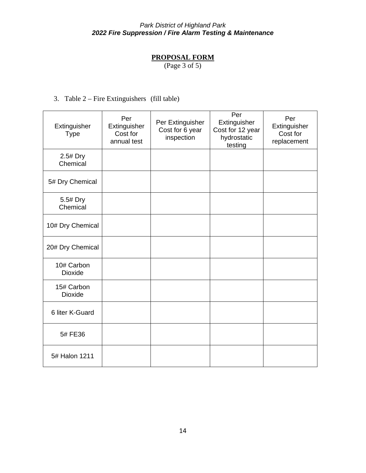# **PROPOSAL FORM**

(Page 3 of 5)

3. Table 2 – Fire Extinguishers (fill table)

| Extinguisher<br><b>Type</b>  | Per<br>Extinguisher<br>Cost for<br>annual test | Per Extinguisher<br>Cost for 6 year<br>inspection | Per<br>Extinguisher<br>Cost for 12 year<br>hydrostatic<br>testing | Per<br>Extinguisher<br>Cost for<br>replacement |
|------------------------------|------------------------------------------------|---------------------------------------------------|-------------------------------------------------------------------|------------------------------------------------|
| 2.5# Dry<br>Chemical         |                                                |                                                   |                                                                   |                                                |
| 5# Dry Chemical              |                                                |                                                   |                                                                   |                                                |
| 5.5# Dry<br>Chemical         |                                                |                                                   |                                                                   |                                                |
| 10# Dry Chemical             |                                                |                                                   |                                                                   |                                                |
| 20# Dry Chemical             |                                                |                                                   |                                                                   |                                                |
| 10# Carbon<br><b>Dioxide</b> |                                                |                                                   |                                                                   |                                                |
| 15# Carbon<br><b>Dioxide</b> |                                                |                                                   |                                                                   |                                                |
| 6 liter K-Guard              |                                                |                                                   |                                                                   |                                                |
| 5# FE36                      |                                                |                                                   |                                                                   |                                                |
| 5# Halon 1211                |                                                |                                                   |                                                                   |                                                |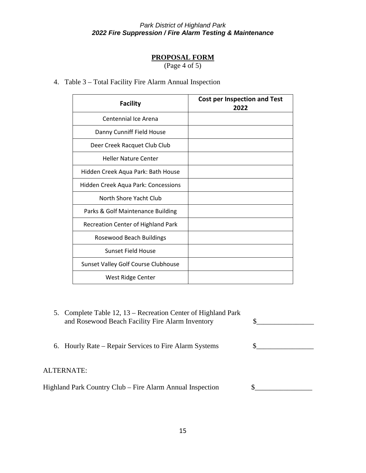# **PROPOSAL FORM**

(Page 4 of 5)

# 4. Table 3 – Total Facility Fire Alarm Annual Inspection

| <b>Facility</b>                           | <b>Cost per Inspection and Test</b><br>2022 |
|-------------------------------------------|---------------------------------------------|
| Centennial Ice Arena                      |                                             |
| Danny Cunniff Field House                 |                                             |
| Deer Creek Racquet Club Club              |                                             |
| <b>Heller Nature Center</b>               |                                             |
| Hidden Creek Aqua Park: Bath House        |                                             |
| Hidden Creek Aqua Park: Concessions       |                                             |
| North Shore Yacht Club                    |                                             |
| Parks & Golf Maintenance Building         |                                             |
| <b>Recreation Center of Highland Park</b> |                                             |
| Rosewood Beach Buildings                  |                                             |
| Sunset Field House                        |                                             |
| Sunset Valley Golf Course Clubhouse       |                                             |
| West Ridge Center                         |                                             |

| 5. Complete Table 12, 13 – Recreation Center of Highland Park<br>and Rosewood Beach Facility Fire Alarm Inventory |  |
|-------------------------------------------------------------------------------------------------------------------|--|
| 6. Hourly Rate – Repair Services to Fire Alarm Systems                                                            |  |
| ALTERNATE:                                                                                                        |  |
| Highland Park Country Club – Fire Alarm Annual Inspection                                                         |  |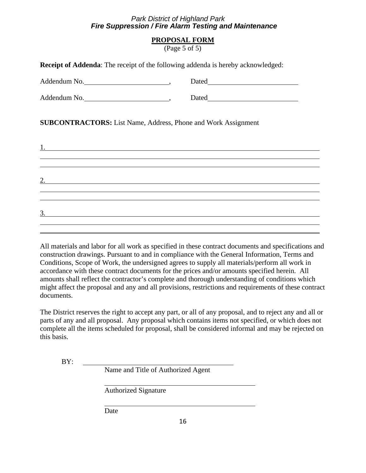# **PROPOSAL FORM**

(Page 5 of 5)

| <b>Receipt of Addenda:</b> The receipt of the following addenda is hereby acknowledged:                               |                                                                                                                                                                                                                                    |  |
|-----------------------------------------------------------------------------------------------------------------------|------------------------------------------------------------------------------------------------------------------------------------------------------------------------------------------------------------------------------------|--|
|                                                                                                                       |                                                                                                                                                                                                                                    |  |
| Addendum No.                                                                                                          | Dated <b>Example 2</b> and 2 and 2 and 2 and 2 and 2 and 2 and 2 and 2 and 2 and 2 and 2 and 2 and 2 and 2 and 2 and 2 and 2 and 2 and 2 and 2 and 2 and 2 and 2 and 2 and 2 and 2 and 2 and 2 and 2 and 2 and 2 and 2 and 2 and 2 |  |
| <b>SUBCONTRACTORS:</b> List Name, Address, Phone and Work Assignment                                                  |                                                                                                                                                                                                                                    |  |
|                                                                                                                       |                                                                                                                                                                                                                                    |  |
| <u> 1989 - Johann Harry Harry Harry Harry Harry Harry Harry Harry Harry Harry Harry Harry Harry Harry Harry Harry</u> |                                                                                                                                                                                                                                    |  |
|                                                                                                                       |                                                                                                                                                                                                                                    |  |
| <u> 1988 - Ann an Dùbhlachd ann an Dùbhlachd ann an Dùbhlachd ann an Dùbhlachd ann an Dùbhlachd ann an Dùbhlachd </u> |                                                                                                                                                                                                                                    |  |
| 3.<br><u> 1989 - Johann Barnett, fransk politiker (d. 1989)</u>                                                       |                                                                                                                                                                                                                                    |  |
|                                                                                                                       |                                                                                                                                                                                                                                    |  |

All materials and labor for all work as specified in these contract documents and specifications and construction drawings. Pursuant to and in compliance with the General Information, Terms and Conditions, Scope of Work, the undersigned agrees to supply all materials/perform all work in accordance with these contract documents for the prices and/or amounts specified herein. All amounts shall reflect the contractor's complete and thorough understanding of conditions which might affect the proposal and any and all provisions, restrictions and requirements of these contract documents.

The District reserves the right to accept any part, or all of any proposal, and to reject any and all or parts of any and all proposal. Any proposal which contains items not specified, or which does not complete all the items scheduled for proposal, shall be considered informal and may be rejected on this basis.

BY:

Name and Title of Authorized Agent

Authorized Signature

Date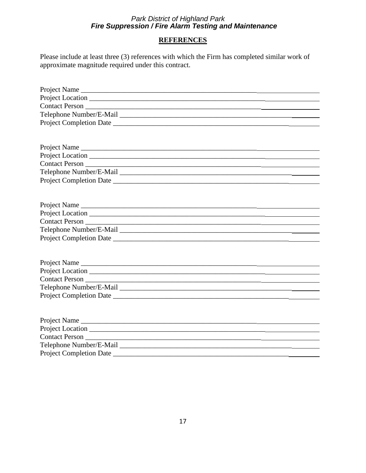# **REFERENCES**

Please include at least three (3) references with which the Firm has completed similar work of approximate magnitude required under this contract.

| Project Completion Date |
|-------------------------|
|                         |
|                         |
|                         |
|                         |
|                         |
|                         |
|                         |
|                         |
|                         |
|                         |
|                         |
| Contact Person          |
|                         |
|                         |
|                         |
|                         |
| Project Name            |
|                         |
|                         |
| Project Completion Date |
|                         |
|                         |
|                         |
|                         |
| Contact Person          |
|                         |
| Project Completion Date |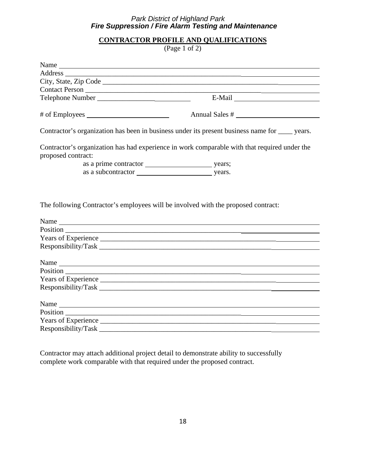# **CONTRACTOR PROFILE AND QUALIFICATIONS**

(Page 1 of 2)

<span id="page-17-0"></span>

|                    | Contractor's organization has been in business under its present business name for _____ years. |
|--------------------|-------------------------------------------------------------------------------------------------|
| proposed contract: | Contractor's organization has had experience in work comparable with that required under the    |
|                    |                                                                                                 |
|                    |                                                                                                 |
|                    |                                                                                                 |
|                    |                                                                                                 |
|                    |                                                                                                 |
|                    |                                                                                                 |
| Name               |                                                                                                 |
| Position           |                                                                                                 |
|                    |                                                                                                 |
|                    |                                                                                                 |
|                    | Name                                                                                            |
|                    |                                                                                                 |
|                    |                                                                                                 |
|                    |                                                                                                 |
|                    |                                                                                                 |

Contractor may attach additional project detail to demonstrate ability to successfully complete work comparable with that required under the proposed contract.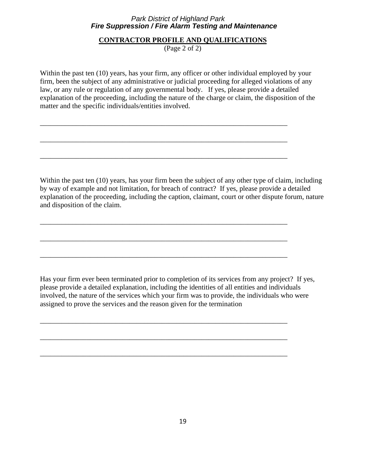#### **CONTRACTOR PROFILE AND QUALIFICATIONS**

(Page 2 of 2)

Within the past ten (10) years, has your firm, any officer or other individual employed by your firm, been the subject of any administrative or judicial proceeding for alleged violations of any law, or any rule or regulation of any governmental body. If yes, please provide a detailed explanation of the proceeding, including the nature of the charge or claim, the disposition of the matter and the specific individuals/entities involved.

\_\_\_\_\_\_\_\_\_\_\_\_\_\_\_\_\_\_\_\_\_\_\_\_\_\_\_\_\_\_\_\_\_\_\_\_\_\_\_\_\_\_\_\_\_\_\_\_\_\_\_\_\_\_\_\_\_\_\_\_\_\_\_\_\_\_\_\_\_

\_\_\_\_\_\_\_\_\_\_\_\_\_\_\_\_\_\_\_\_\_\_\_\_\_\_\_\_\_\_\_\_\_\_\_\_\_\_\_\_\_\_\_\_\_\_\_\_\_\_\_\_\_\_\_\_\_\_\_\_\_\_\_\_\_\_\_\_\_

\_\_\_\_\_\_\_\_\_\_\_\_\_\_\_\_\_\_\_\_\_\_\_\_\_\_\_\_\_\_\_\_\_\_\_\_\_\_\_\_\_\_\_\_\_\_\_\_\_\_\_\_\_\_\_\_\_\_\_\_\_\_\_\_\_\_\_\_\_

\_\_\_\_\_\_\_\_\_\_\_\_\_\_\_\_\_\_\_\_\_\_\_\_\_\_\_\_\_\_\_\_\_\_\_\_\_\_\_\_\_\_\_\_\_\_\_\_\_\_\_\_\_\_\_\_\_\_\_\_\_\_\_\_\_\_\_\_\_

\_\_\_\_\_\_\_\_\_\_\_\_\_\_\_\_\_\_\_\_\_\_\_\_\_\_\_\_\_\_\_\_\_\_\_\_\_\_\_\_\_\_\_\_\_\_\_\_\_\_\_\_\_\_\_\_\_\_\_\_\_\_\_\_\_\_\_\_\_

\_\_\_\_\_\_\_\_\_\_\_\_\_\_\_\_\_\_\_\_\_\_\_\_\_\_\_\_\_\_\_\_\_\_\_\_\_\_\_\_\_\_\_\_\_\_\_\_\_\_\_\_\_\_\_\_\_\_\_\_\_\_\_\_\_\_\_\_\_

\_\_\_\_\_\_\_\_\_\_\_\_\_\_\_\_\_\_\_\_\_\_\_\_\_\_\_\_\_\_\_\_\_\_\_\_\_\_\_\_\_\_\_\_\_\_\_\_\_\_\_\_\_\_\_\_\_\_\_\_\_\_\_\_\_\_\_\_\_

\_\_\_\_\_\_\_\_\_\_\_\_\_\_\_\_\_\_\_\_\_\_\_\_\_\_\_\_\_\_\_\_\_\_\_\_\_\_\_\_\_\_\_\_\_\_\_\_\_\_\_\_\_\_\_\_\_\_\_\_\_\_\_\_\_\_\_\_\_

\_\_\_\_\_\_\_\_\_\_\_\_\_\_\_\_\_\_\_\_\_\_\_\_\_\_\_\_\_\_\_\_\_\_\_\_\_\_\_\_\_\_\_\_\_\_\_\_\_\_\_\_\_\_\_\_\_\_\_\_\_\_\_\_\_\_\_\_\_

Within the past ten (10) years, has your firm been the subject of any other type of claim, including by way of example and not limitation, for breach of contract? If yes, please provide a detailed explanation of the proceeding, including the caption, claimant, court or other dispute forum, nature and disposition of the claim.

Has your firm ever been terminated prior to completion of its services from any project? If yes, please provide a detailed explanation, including the identities of all entities and individuals involved, the nature of the services which your firm was to provide, the individuals who were assigned to prove the services and the reason given for the termination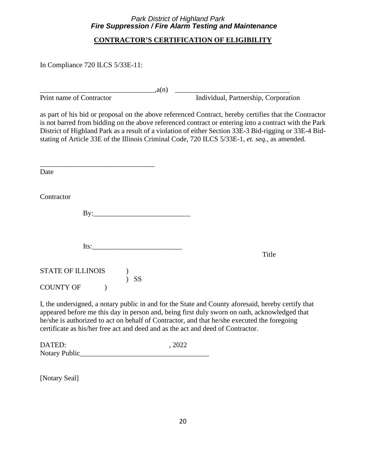# **CONTRACTOR'S CERTIFICATION OF ELIGIBILITY**

<span id="page-19-0"></span>In Compliance 720 ILCS 5/33E-11:

\_\_\_\_\_\_\_\_\_\_\_\_\_\_\_\_\_\_\_\_\_\_\_\_\_\_\_\_\_\_\_\_,a(n) \_\_\_\_\_\_\_\_\_\_\_\_\_\_\_\_\_\_\_\_\_\_\_\_\_\_\_\_\_\_\_\_

Print name of Contractor **Individual**, Partnership, Corporation

as part of his bid or proposal on the above referenced Contract, hereby certifies that the Contractor is not barred from bidding on the above referenced contract or entering into a contract with the Park District of Highland Park as a result of a violation of either Section 33E-3 Bid-rigging or 33E-4 Bidstating of Article 33E of the Illinois Criminal Code, 720 ILCS 5/33E-1, *et. seq.*, as amended.

| Date                                             |                                                                                        |
|--------------------------------------------------|----------------------------------------------------------------------------------------|
| Contractor                                       |                                                                                        |
|                                                  |                                                                                        |
| Its: $\frac{1}{2}$                               | Title                                                                                  |
| STATE OF ILLINOIS (C)<br>$)$ SS<br>COUNTY OF (2) |                                                                                        |
|                                                  | I the undersigned a notary public in and for the State and County aforesaid hereby cer |

I, the undersigned, a notary public in and for the State and County aforesaid, hereby certify that appeared before me this day in person and, being first duly sworn on oath, acknowledged that he/she is authorized to act on behalf of Contractor, and that he/she executed the foregoing certificate as his/her free act and deed and as the act and deed of Contractor.

| DATED:        | , 2022 |
|---------------|--------|
| Notary Public |        |

[Notary Seal]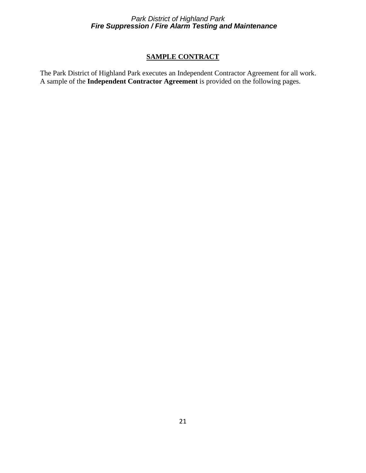# **SAMPLE CONTRACT**

<span id="page-20-0"></span>The Park District of Highland Park executes an Independent Contractor Agreement for all work. A sample of the **Independent Contractor Agreement** is provided on the following pages.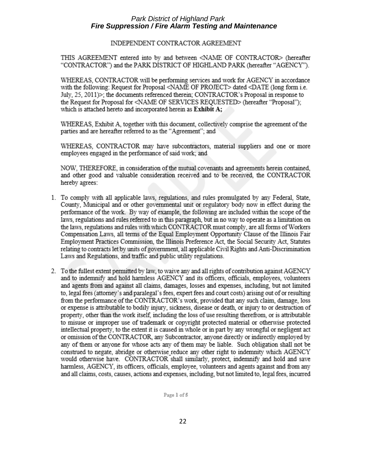#### INDEPENDENT CONTRACTOR AGREEMENT

THIS AGREEMENT entered into by and between <NAME OF CONTRACTOR> (hereafter "CONTRACTOR") and the PARK DISTRICT OF HIGHLAND PARK (hereafter "AGENCY").

WHEREAS, CONTRACTOR will be performing services and work for AGENCY in accordance with the following: Request for Proposal <NAME OF PROJECT> dated <DATE (long form i.e. July, 25, 2011)>; the documents referenced therein; CONTRACTOR's Proposal in response to the Request for Proposal for <NAME OF SERVICES REQUESTED> (hereafter "Proposal"); which is attached hereto and incorporated herein as Exhibit A;

WHEREAS, Exhibit A, together with this document, collectively comprise the agreement of the parties and are hereafter referred to as the "Agreement"; and

WHEREAS, CONTRACTOR may have subcontractors, material suppliers and one or more employees engaged in the performance of said work; and

NOW, THEREFORE, in consideration of the mutual covenants and agreements herein contained, and other good and valuable consideration received and to be received, the CONTRACTOR hereby agrees:

- 1. To comply with all applicable laws, regulations, and rules promulgated by any Federal, State, County, Municipal and or other governmental unit or regulatory body now in effect during the performance of the work. By way of example, the following are included within the scope of the laws, regulations and rules referred to in this paragraph, but in no way to operate as a limitation on the laws, regulations and rules with which CONTRACTOR must comply, are all forms of Workers Compensation Laws, all terms of the Equal Employment Opportunity Clause of the Illinois Fair Employment Practices Commission, the Illinois Preference Act, the Social Security Act, Statutes relating to contracts let by units of government, all applicable Civil Rights and Anti-Discrimination Laws and Regulations, and traffic and public utility regulations.
- 2. To the fullest extent permitted by law, to waive any and all rights of contribution against AGENCY and to indemnify and hold harmless AGENCY and its officers, officials, employees, volunteers and agents from and against all claims, damages, losses and expenses, including, but not limited to, legal fees (attorney's and paralegal's fees, expert fees and court costs) arising out of or resulting from the performance of the CONTRACTOR's work, provided that any such claim, damage, loss or expense is attributable to bodily injury, sickness, disease or death, or injury to or destruction of property, other than the work itself, including the loss of use resulting therefrom, or is attributable to misuse or improper use of trademark or copyright protected material or otherwise protected intellectual property, to the extent it is caused in whole or in part by any wrongful or negligent act or omission of the CONTRACTOR, any Subcontractor, anyone directly or indirectly employed by any of them or anyone for whose acts any of them may be liable. Such obligation shall not be construed to negate, abridge or otherwise reduce any other right to indemnity which AGENCY would otherwise have. CONTRACTOR shall similarly, protect, indemnify and hold and save harmless, AGENCY, its officers, officials, employee, volunteers and agents against and from any and all claims, costs, causes, actions and expenses, including, but not limited to, legal fees, incurred

Page 1 of 5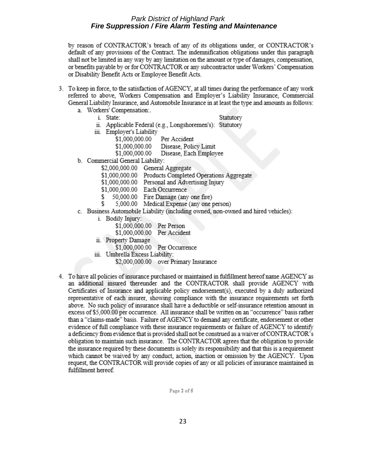by reason of CONTRACTOR's breach of any of its obligations under, or CONTRACTOR's default of any provisions of the Contract. The indemnification obligations under this paragraph shall not be limited in any way by any limitation on the amount or type of damages, compensation, or benefits payable by or for CONTRACTOR or any subcontractor under Workers' Compensation or Disability Benefit Acts or Employee Benefit Acts.

- 3. To keep in force, to the satisfaction of AGENCY, at all times during the performance of any work referred to above, Workers Compensation and Employer's Liability Insurance, Commercial General Liability Insurance, and Automobile Insurance in at least the type and amounts as follows:
	- a. Workers' Compensation:.
		- i. State:
- Statutory
- ii. Applicable Federal (e.g., Longshoremen's): Statutory
- iii. Employer's Liability
	- \$1,000,000.00 Per Accident
	- \$1.000.000.00 Disease, Policy Limit
	- \$1,000,000.00 Disease, Each Employee
- b. Commercial General Liability:
	- \$2,000,000.00 General Aggregate
	- \$1,000,000.00 Products Completed Operations Aggregate
	- \$1,000,000.00 Personal and Advertising Injury
	- \$1,000,000.00 Each Occurrence
	- 50,000.00 Fire Damage (any one fire)
	- \$ 5,000.00 Medical Expense (any one person)
- c. Business Automobile Liability (including owned, non-owned and hired vehicles):
	- i. Bodily Injury:
		- \$1,000,000.00 Per Person
		- \$1,000,000.00 Per Accident
	- ii. Property Damage
		- \$1,000,000.00 Per Occurrence
	- iii. Umbrella Excess Liability:
		- \$2,000,000.00 over Primary Insurance
- 4. To have all policies of insurance purchased or maintained in fulfillment hereof name AGENCY as an additional insured thereunder and the CONTRACTOR shall provide AGENCY with Certificates of Insurance and applicable policy endorsement(s), executed by a duly authorized representative of each insurer, showing compliance with the insurance requirements set forth above. No such policy of insurance shall have a deductible or self-insurance retention amount in excess of \$5,000.00 per occurrence. All insurance shall be written on an "occurrence" basis rather than a "claims-made" basis. Failure of AGENCY to demand any certificate, endorsement or other evidence of full compliance with these insurance requirements or failure of AGENCY to identify a deficiency from evidence that is provided shall not be construed as a waiver of CONTRACTOR's obligation to maintain such insurance. The CONTRACTOR agrees that the obligation to provide the insurance required by these documents is solely its responsibility and that this is a requirement which cannot be waived by any conduct, action, inaction or omission by the AGENCY. Upon request, the CONTRACTOR will provide copies of any or all policies of insurance maintained in fulfillment hereof.

Page 2 of 5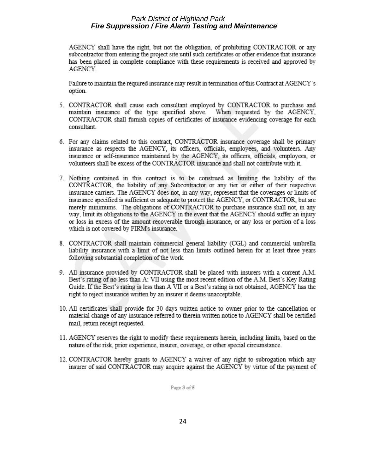AGENCY shall have the right, but not the obligation, of prohibiting CONTRACTOR or any subcontractor from entering the project site until such certificates or other evidence that insurance has been placed in complete compliance with these requirements is received and approved by AGENCY.

Failure to maintain the required insurance may result in termination of this Contract at AGENCY's option.

- 5. CONTRACTOR shall cause each consultant employed by CONTRACTOR to purchase and maintain insurance of the type specified above. When requested by the AGENCY, CONTRACTOR shall furnish copies of certificates of insurance evidencing coverage for each consultant.
- 6. For any claims related to this contract, CONTRACTOR insurance coverage shall be primary insurance as respects the AGENCY, its officers, officials, employees, and volunteers. Any insurance or self-insurance maintained by the AGENCY, its officers, officials, employees, or volunteers shall be excess of the CONTRACTOR insurance and shall not contribute with it.
- 7. Nothing contained in this contract is to be construed as limiting the liability of the CONTRACTOR, the liability of any Subcontractor or any tier or either of their respective insurance carriers. The AGENCY does not, in any way, represent that the coverages or limits of insurance specified is sufficient or adequate to protect the AGENCY, or CONTRACTOR, but are merely minimums. The obligations of CONTRACTOR to purchase insurance shall not, in any way, limit its obligations to the AGENCY in the event that the AGENCY should suffer an injury or loss in excess of the amount recoverable through insurance, or any loss or portion of a loss which is not covered by FIRM's insurance.
- 8. CONTRACTOR shall maintain commercial general liability (CGL) and commercial umbrella liability insurance with a limit of not less than limits outlined herein for at least three years following substantial completion of the work.
- 9. All insurance provided by CONTRACTOR shall be placed with insurers with a current A.M. Best's rating of no less than A: VII using the most recent edition of the A.M. Best's Key Rating Guide. If the Best's rating is less than A VII or a Best's rating is not obtained, AGENCY has the right to reject insurance written by an insurer it deems unacceptable.
- 10. All certificates shall provide for 30 days written notice to owner prior to the cancellation or material change of any insurance referred to therein written notice to AGENCY shall be certified mail, return receipt requested.
- 11. AGENCY reserves the right to modify these requirements herein, including limits, based on the nature of the risk, prior experience, insurer, coverage, or other special circumstance.
- 12. CONTRACTOR hereby grants to AGENCY a waiver of any right to subrogation which any insurer of said CONTRACTOR may acquire against the AGENCY by virtue of the payment of

Page 3 of 5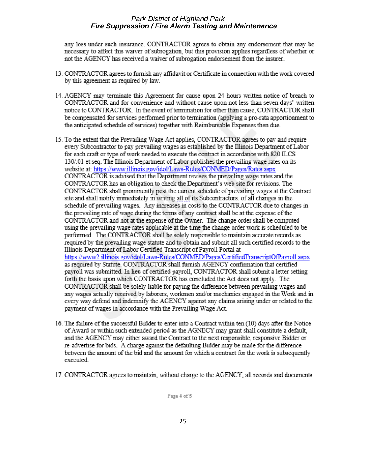any loss under such insurance. CONTRACTOR agrees to obtain any endorsement that may be necessary to affect this waiver of subrogation, but this provision applies regardless of whether or not the AGENCY has received a waiver of subrogation endorsement from the insurer.

- 13. CONTRACTOR agrees to furnish any affidavit or Certificate in connection with the work covered by this agreement as required by law.
- 14. AGENCY may terminate this Agreement for cause upon 24 hours written notice of breach to CONTRACTOR and for convenience and without cause upon not less than seven days' written notice to CONTRACTOR. In the event of termination for other than cause, CONTRACTOR shall be compensated for services performed prior to termination (applying a pro-rata apportionment to the anticipated schedule of services) together with Reimbursable Expenses then due.
- 15. To the extent that the Prevailing Wage Act applies, CONTRACTOR agrees to pay and require every Subcontractor to pay prevailing wages as established by the Illinois Department of Labor for each craft or type of work needed to execute the contract in accordance with 820 ILCS 130/01 et seq. The Illinois Department of Labor publishes the prevailing wage rates on its website at: https://www.illinois.gov/idol/Laws-Rules/CONMED/Pages/Rates.aspx CONTRACTOR is advised that the Department revises the prevailing wage rates and the CONTRACTOR has an obligation to check the Department's web site for revisions. The CONTRACTOR shall prominently post the current schedule of prevailing wages at the Contract site and shall notify immediately in writing all of its Subcontractors, of all changes in the schedule of prevailing wages. Any increases in costs to the CONTRACTOR due to changes in the prevailing rate of wage during the terms of any contract shall be at the expense of the CONTRACTOR and not at the expense of the Owner. The change order shall be computed using the prevailing wage rates applicable at the time the change order work is scheduled to be performed. The CONTRACTOR shall be solely responsible to maintain accurate records as required by the prevailing wage statute and to obtain and submit all such certified records to the Illinois Department of Labor Certified Transcript of Payroll Portal at https://www2.illinois.gov/idol/Laws-Rules/CONMED/Pages/CertifiedTranscriptOfPayroll.aspx as required by Statute. CONTRACTOR shall furnish AGENCY confirmation that certified payroll was submitted. In lieu of certified payroll, CONTRACTOR shall submit a letter setting forth the basis upon which CONTRACTOR has concluded the Act does not apply. The CONTRACTOR shall be solely liable for paying the difference between prevailing wages and any wages actually received by laborers, workmen and/or mechanics engaged in the Work and in every way defend and indemnify the AGENCY against any claims arising under or related to the payment of wages in accordance with the Prevailing Wage Act.
- 16. The failure of the successful Bidder to enter into a Contract within ten (10) days after the Notice of Award or within such extended period as the AGNECY may grant shall constitute a default, and the AGENCY may either award the Contract to the next responsible, responsive Bidder or re-advertise for bids. A charge against the defaulting Bidder may be made for the difference between the amount of the bid and the amount for which a contract for the work is subsequently executed.
- 17. CONTRACTOR agrees to maintain, without charge to the AGENCY, all records and documents

Page 4 of 5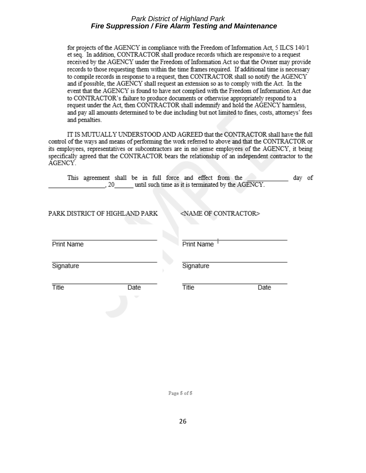for projects of the AGENCY in compliance with the Freedom of Information Act, 5 ILCS 140/1 et seq. In addition, CONTRACTOR shall produce records which are responsive to a request received by the AGENCY under the Freedom of Information Act so that the Owner may provide records to those requesting them within the time frames required. If additional time is necessary to compile records in response to a request, then CONTRACTOR shall so notify the AGENCY and if possible, the AGENCY shall request an extension so as to comply with the Act. In the event that the AGENCY is found to have not complied with the Freedom of Information Act due to CONTRACTOR's failure to produce documents or otherwise appropriately respond to a request under the Act, then CONTRACTOR shall indemnify and hold the AGENCY harmless, and pay all amounts determined to be due including but not limited to fines, costs, attorneys' fees and penalties.

IT IS MUTUALLY UNDERSTOOD AND AGREED that the CONTRACTOR shall have the full control of the ways and means of performing the work referred to above and that the CONTRACTOR or its employees, representatives or subcontractors are in no sense employees of the AGENCY, it being specifically agreed that the CONTRACTOR bears the relationship of an independent contractor to the AGENCY.

| This agreement shall be in full force and effect from the |  |  |  |  |                                                    | day of |  |
|-----------------------------------------------------------|--|--|--|--|----------------------------------------------------|--------|--|
| . 20                                                      |  |  |  |  | until such time as it is terminated by the AGENCY. |        |  |

| PARK DISTRICT OF HIGHLAND PARK | ≤NAME OF CONTI |
|--------------------------------|----------------|
| Print Name                     | Print Name     |
| Signature                      | Signature      |

Date

Title

Title

Date

:ACTOR>

Page 5 of 5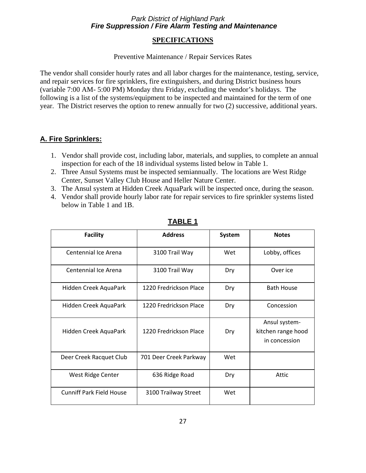#### **SPECIFICATIONS**

#### Preventive Maintenance / Repair Services Rates

<span id="page-26-0"></span>The vendor shall consider hourly rates and all labor charges for the maintenance, testing, service, and repair services for fire sprinklers, fire extinguishers, and during District business hours (variable 7:00 AM- 5:00 PM) Monday thru Friday, excluding the vendor's holidays. The following is a list of the systems/equipment to be inspected and maintained for the term of one year. The District reserves the option to renew annually for two (2) successive, additional years.

# **A. Fire Sprinklers:**

- 1. Vendor shall provide cost, including labor, materials, and supplies, to complete an annual inspection for each of the 18 individual systems listed below in Table 1.
- 2. Three Ansul Systems must be inspected semiannually. The locations are West Ridge Center, Sunset Valley Club House and Heller Nature Center.
- 3. The Ansul system at Hidden Creek AquaPark will be inspected once, during the season.
- 4. Vendor shall provide hourly labor rate for repair services to fire sprinkler systems listed below in Table 1 and 1B.

| <b>Facility</b>                 | <b>Address</b>         | <b>System</b> | <b>Notes</b>                                         |
|---------------------------------|------------------------|---------------|------------------------------------------------------|
| Centennial Ice Arena            | 3100 Trail Way         | Wet           | Lobby, offices                                       |
| Centennial Ice Arena            | 3100 Trail Way         | Dry           | Over ice                                             |
| Hidden Creek AquaPark           | 1220 Fredrickson Place | Dry           | <b>Bath House</b>                                    |
| Hidden Creek AquaPark           | 1220 Fredrickson Place | Dry           | Concession                                           |
| Hidden Creek AquaPark           | 1220 Fredrickson Place | Dry           | Ansul system-<br>kitchen range hood<br>in concession |
| Deer Creek Racquet Club         | 701 Deer Creek Parkway | Wet           |                                                      |
| West Ridge Center               | 636 Ridge Road         | Dry           | Attic                                                |
| <b>Cunniff Park Field House</b> | 3100 Trailway Street   | Wet           |                                                      |

#### **TABLE 1**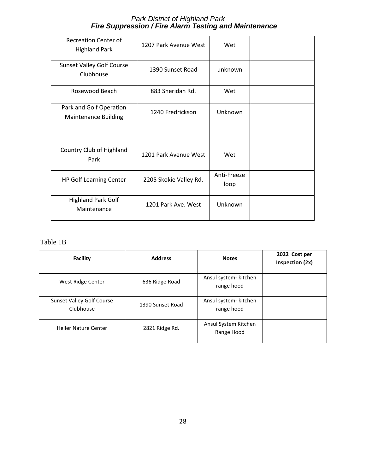| <b>Recreation Center of</b><br><b>Highland Park</b>    | 1207 Park Avenue West  | Wet                 |  |
|--------------------------------------------------------|------------------------|---------------------|--|
| <b>Sunset Valley Golf Course</b><br>Clubhouse          | 1390 Sunset Road       | unknown             |  |
| Rosewood Beach                                         | 883 Sheridan Rd.       | Wet                 |  |
| Park and Golf Operation<br><b>Maintenance Building</b> | 1240 Fredrickson       | Unknown             |  |
|                                                        |                        |                     |  |
| Country Club of Highland<br>Park                       | 1201 Park Avenue West  | Wet                 |  |
| <b>HP Golf Learning Center</b>                         | 2205 Skokie Valley Rd. | Anti-Freeze<br>loop |  |
| <b>Highland Park Golf</b><br>Maintenance               | 1201 Park Ave, West    | Unknown             |  |

# Table 1B

| <b>Facility</b>                               | <b>Address</b>   | <b>Notes</b>                        | 2022 Cost per<br>Inspection (2x) |
|-----------------------------------------------|------------------|-------------------------------------|----------------------------------|
| West Ridge Center                             | 636 Ridge Road   | Ansul system- kitchen<br>range hood |                                  |
| <b>Sunset Valley Golf Course</b><br>Clubhouse | 1390 Sunset Road | Ansul system- kitchen<br>range hood |                                  |
| <b>Heller Nature Center</b>                   | 2821 Ridge Rd.   | Ansul System Kitchen<br>Range Hood  |                                  |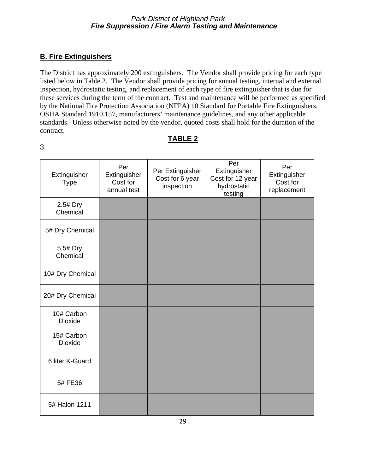# **B. Fire Extinguishers**

5# Halon 1211

The District has approximately 200 extinguishers. The Vendor shall provide pricing for each type listed below in Table 2. The Vendor shall provide pricing for annual testing, internal and external inspection, hydrostatic testing, and replacement of each type of fire extinguisher that is due for these services during the term of the contract. Test and maintenance will be performed as specified by the National Fire Protection Association (NFPA) 10 Standard for Portable Fire Extinguishers, OSHA Standard 1910.157, manufacturers' maintenance guidelines, and any other applicable standards. Unless otherwise noted by the vendor, quoted costs shall hold for the duration of the contract.

# **TABLE 2**

Per

Per **Extinguisher** Cost for replacement

| Extinguisher<br><b>Type</b>  | Per<br>Extinguisher<br>Cost for<br>annual test | Per Extinguisher<br>Cost for 6 year<br>inspection | Per<br>Extinguisher<br>Cost for 12 year<br>hydrostatic<br>testing |
|------------------------------|------------------------------------------------|---------------------------------------------------|-------------------------------------------------------------------|
| 2.5# Dry<br>Chemical         |                                                |                                                   |                                                                   |
| 5# Dry Chemical              |                                                |                                                   |                                                                   |
| 5.5# Dry<br>Chemical         |                                                |                                                   |                                                                   |
| 10# Dry Chemical             |                                                |                                                   |                                                                   |
| 20# Dry Chemical             |                                                |                                                   |                                                                   |
| 10# Carbon<br><b>Dioxide</b> |                                                |                                                   |                                                                   |
| 15# Carbon<br>Dioxide        |                                                |                                                   |                                                                   |
| 6 liter K-Guard              |                                                |                                                   |                                                                   |
| 5# FE36                      |                                                |                                                   |                                                                   |

3.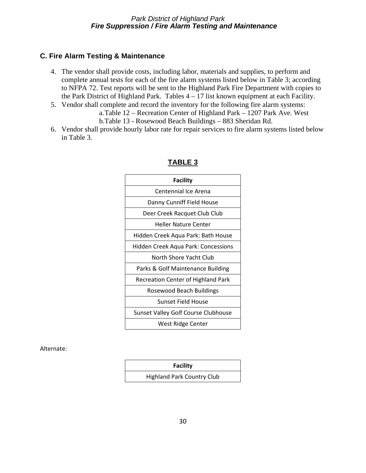# **C. Fire Alarm Testing & Maintenance**

- 4. The vendor shall provide costs, including labor, materials and supplies, to perform and complete annual tests for each of the fire alarm systems listed below in Table 3; according to NFPA 72. Test reports will be sent to the Highland Park Fire Department with copies to the Park District of Highland Park. Tables  $4 - 17$  list known equipment at each Facility.
- 5. Vendor shall complete and record the inventory for the following fire alarm systems: a.Table 12 – Recreation Center of Highland Park – 1207 Park Ave. West b.Table 13 - Rosewood Beach Buildings – 883 Sheridan Rd.
- 6. Vendor shall provide hourly labor rate for repair services to fire alarm systems listed below in Table 3.

| <b>Facility</b>                     |
|-------------------------------------|
| Centennial Ice Arena                |
|                                     |
| Danny Cunniff Field House           |
| Deer Creek Racquet Club Club        |
| <b>Heller Nature Center</b>         |
| Hidden Creek Aqua Park: Bath House  |
| Hidden Creek Aqua Park: Concessions |
| North Shore Yacht Club              |
| Parks & Golf Maintenance Building   |
| Recreation Center of Highland Park  |
| Rosewood Beach Buildings            |
| Sunset Field House                  |
| Sunset Valley Golf Course Clubhouse |
| West Ridge Center                   |

# **TABLE 3**

Alternate:

| <b>Facility</b>                   |  |
|-----------------------------------|--|
| <b>Highland Park Country Club</b> |  |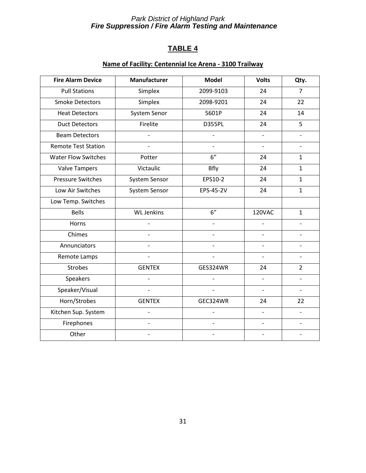# **TABLE 4**

# **Name of Facility: Centennial Ice Arena - 3100 Trailway**

| <b>Fire Alarm Device</b>   | <b>Manufacturer</b>      | <b>Model</b>             | <b>Volts</b>             | Qty.                     |
|----------------------------|--------------------------|--------------------------|--------------------------|--------------------------|
| <b>Pull Stations</b>       | Simplex                  | 2099-9103                | 24                       | $\overline{7}$           |
| <b>Smoke Detectors</b>     | Simplex                  | 2098-9201                | 24                       | 22                       |
| <b>Heat Detectors</b>      | <b>System Senor</b>      | 5601P                    | 24                       | 14                       |
| <b>Duct Detectors</b>      | Firelite                 | <b>D355PL</b>            | 24                       | 5                        |
| <b>Beam Detectors</b>      |                          |                          |                          |                          |
| <b>Remote Test Station</b> | $\overline{a}$           | $\overline{a}$           | $\overline{\phantom{a}}$ | $\overline{\phantom{0}}$ |
| <b>Water Flow Switches</b> | Potter                   | 6"                       | 24                       | $\mathbf{1}$             |
| <b>Valve Tampers</b>       | Victaulic                | Bfly                     | 24                       | $\mathbf{1}$             |
| <b>Pressure Switches</b>   | System Sensor            | EPS10-2                  | 24                       | $\mathbf{1}$             |
| Low Air Switches           | System Sensor            | EPS-45-2V                | 24                       | $\mathbf{1}$             |
| Low Temp. Switches         |                          |                          |                          |                          |
| <b>Bells</b>               | <b>WL Jenkins</b>        | 6"                       | 120VAC                   | $\mathbf{1}$             |
| Horns                      | $\overline{a}$           | $\overline{a}$           |                          |                          |
| Chimes                     |                          |                          |                          |                          |
| Annunciators               |                          |                          |                          |                          |
| Remote Lamps               |                          |                          |                          |                          |
| <b>Strobes</b>             | <b>GENTEX</b>            | GES324WR                 | 24                       | $\overline{2}$           |
| Speakers                   |                          |                          |                          |                          |
| Speaker/Visual             | $\overline{\phantom{a}}$ | $\overline{\phantom{a}}$ | $\overline{\phantom{a}}$ | $\overline{\phantom{a}}$ |
| Horn/Strobes               | <b>GENTEX</b>            | GEC324WR                 | 24                       | 22                       |
| Kitchen Sup. System        | $\overline{a}$           |                          |                          |                          |
| Firephones                 | $\frac{1}{2}$            | $\overline{\phantom{a}}$ | $\overline{\phantom{a}}$ |                          |
| Other                      |                          |                          |                          |                          |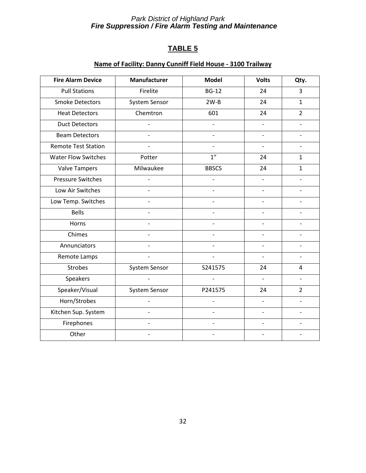# **TABLE 5**

# **Name of Facility: Danny Cunniff Field House - 3100 Trailway**

| <b>Fire Alarm Device</b>   | Manufacturer             | <b>Model</b>             | <b>Volts</b>             | Qty.           |
|----------------------------|--------------------------|--------------------------|--------------------------|----------------|
| <b>Pull Stations</b>       | Firelite                 | <b>BG-12</b>             | 24                       | 3              |
| <b>Smoke Detectors</b>     | System Sensor            | $2W-B$                   | 24                       | $\mathbf{1}$   |
| <b>Heat Detectors</b>      | Chemtron                 | 601                      | 24                       | $\overline{2}$ |
| <b>Duct Detectors</b>      |                          |                          |                          |                |
| <b>Beam Detectors</b>      |                          |                          |                          |                |
| <b>Remote Test Station</b> |                          | $\overline{\phantom{a}}$ | $\overline{\phantom{a}}$ |                |
| <b>Water Flow Switches</b> | Potter                   | 1''                      | 24                       | $\mathbf{1}$   |
| <b>Valve Tampers</b>       | Milwaukee                | <b>BBSCS</b>             | 24                       | $\mathbf{1}$   |
| <b>Pressure Switches</b>   |                          |                          |                          |                |
| Low Air Switches           | $\overline{a}$           |                          |                          |                |
| Low Temp. Switches         | $\overline{\phantom{0}}$ |                          |                          |                |
| <b>Bells</b>               |                          |                          |                          |                |
| Horns                      |                          |                          |                          |                |
| Chimes                     |                          |                          |                          |                |
| Annunciators               |                          |                          |                          |                |
| Remote Lamps               |                          |                          |                          |                |
| <b>Strobes</b>             | System Sensor            | S241575                  | 24                       | 4              |
| Speakers                   |                          |                          |                          |                |
| Speaker/Visual             | System Sensor            | P241575                  | 24                       | $\overline{2}$ |
| Horn/Strobes               |                          |                          |                          |                |
| Kitchen Sup. System        |                          |                          |                          |                |
| Firephones                 | $\overline{\phantom{0}}$ |                          | $\overline{\phantom{a}}$ |                |
| Other                      |                          |                          |                          |                |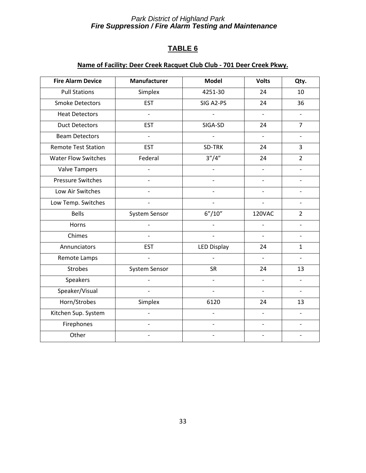# **TABLE 6**

# **Name of Facility: Deer Creek Racquet Club Club - 701 Deer Creek Pkwy.**

| <b>Fire Alarm Device</b>   | <b>Manufacturer</b>      | <b>Model</b>       | <b>Volts</b>             | Qty.                     |
|----------------------------|--------------------------|--------------------|--------------------------|--------------------------|
| <b>Pull Stations</b>       | Simplex                  | 4251-30            | 24                       | 10                       |
| <b>Smoke Detectors</b>     | <b>EST</b>               | SIG A2-PS          | 24                       | 36                       |
| <b>Heat Detectors</b>      | $\overline{a}$           |                    | $\overline{\phantom{a}}$ |                          |
| <b>Duct Detectors</b>      | <b>EST</b>               | SIGA-SD            | 24                       | $\overline{7}$           |
| <b>Beam Detectors</b>      |                          |                    |                          |                          |
| <b>Remote Test Station</b> | <b>EST</b>               | SD-TRK             | 24                       | 3                        |
| <b>Water Flow Switches</b> | Federal                  | 3''/4''            | 24                       | $\overline{2}$           |
| <b>Valve Tampers</b>       | $\overline{a}$           | $\overline{a}$     | $\overline{\phantom{a}}$ | $\overline{\phantom{0}}$ |
| Pressure Switches          | $\overline{a}$           |                    | $\overline{a}$           | $\overline{a}$           |
| Low Air Switches           | $\overline{a}$           |                    | $\overline{a}$           | $\overline{a}$           |
| Low Temp. Switches         | $\overline{a}$           |                    |                          | $\overline{\phantom{0}}$ |
| <b>Bells</b>               | System Sensor            | 6''/10''           | 120VAC                   | $\overline{2}$           |
| Horns                      |                          |                    |                          |                          |
| Chimes                     |                          |                    |                          |                          |
| Annunciators               | <b>EST</b>               | <b>LED Display</b> | 24                       | $\mathbf{1}$             |
| Remote Lamps               |                          |                    |                          |                          |
| Strobes                    | System Sensor            | <b>SR</b>          | 24                       | 13                       |
| Speakers                   |                          |                    |                          |                          |
| Speaker/Visual             | $\overline{\phantom{0}}$ | $\overline{a}$     | $\overline{a}$           | $\overline{\phantom{a}}$ |
| Horn/Strobes               | Simplex                  | 6120               | 24                       | 13                       |
| Kitchen Sup. System        | $\overline{a}$           | $\overline{a}$     | $\overline{\phantom{0}}$ | $\overline{\phantom{a}}$ |
| Firephones                 | $\overline{\phantom{0}}$ | $\overline{a}$     | $\overline{\phantom{a}}$ | $\overline{\phantom{0}}$ |
| Other                      |                          | $\overline{a}$     | $\overline{\phantom{0}}$ | $\overline{a}$           |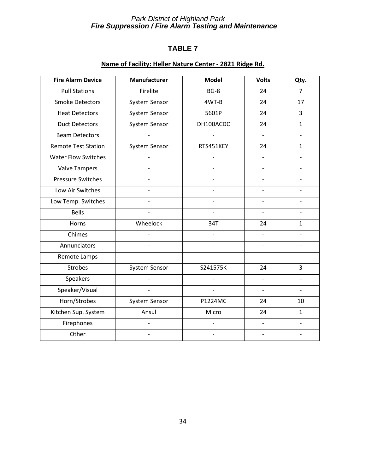# **TABLE 7**

# **Name of Facility: Heller Nature Center - 2821 Ridge Rd.**

| <b>Fire Alarm Device</b>   | Manufacturer             | <b>Model</b>   | <b>Volts</b>             | Qty.                     |
|----------------------------|--------------------------|----------------|--------------------------|--------------------------|
| <b>Pull Stations</b>       | Firelite                 | $BG-8$         | 24                       | $\overline{7}$           |
| <b>Smoke Detectors</b>     | System Sensor            | 4WT-B          | 24                       | 17                       |
| <b>Heat Detectors</b>      | System Sensor            | 5601P          | 24                       | 3                        |
| <b>Duct Detectors</b>      | System Sensor            | DH100ACDC      | 24                       | $\mathbf{1}$             |
| <b>Beam Detectors</b>      |                          |                |                          |                          |
| <b>Remote Test Station</b> | System Sensor            | RTS451KEY      | 24                       | $\mathbf{1}$             |
| <b>Water Flow Switches</b> |                          |                |                          |                          |
| <b>Valve Tampers</b>       | $\overline{\phantom{0}}$ | $\overline{a}$ |                          |                          |
| <b>Pressure Switches</b>   |                          |                |                          |                          |
| Low Air Switches           |                          |                | $\overline{\phantom{0}}$ |                          |
| Low Temp. Switches         |                          |                |                          |                          |
| <b>Bells</b>               |                          |                |                          |                          |
| Horns                      | Wheelock                 | 34T            | 24                       | $\mathbf{1}$             |
| Chimes                     |                          |                |                          |                          |
| Annunciators               |                          |                |                          |                          |
| Remote Lamps               |                          |                |                          |                          |
| <b>Strobes</b>             | System Sensor            | S241575K       | 24                       | 3                        |
| Speakers                   |                          |                |                          |                          |
| Speaker/Visual             | $\overline{\phantom{0}}$ | $\overline{a}$ | $\overline{a}$           | $\overline{\phantom{0}}$ |
| Horn/Strobes               | System Sensor            | P1224MC        | 24                       | 10                       |
| Kitchen Sup. System        | Ansul                    | Micro          | 24                       | $\mathbf{1}$             |
| Firephones                 | $\overline{a}$           | $\overline{a}$ | $\overline{\phantom{a}}$ | $\overline{\phantom{0}}$ |
| Other                      |                          |                |                          |                          |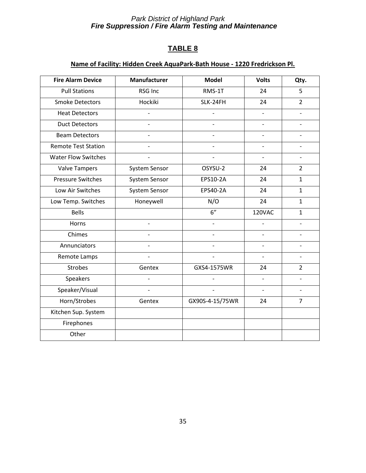# **TABLE 8**

# **Name of Facility: Hidden Creek AquaPark-Bath House - 1220 Fredrickson Pl.**

| <b>Fire Alarm Device</b>   | Manufacturer             | <b>Model</b>    | <b>Volts</b>             | Qty.                     |
|----------------------------|--------------------------|-----------------|--------------------------|--------------------------|
| <b>Pull Stations</b>       | <b>RSG Inc</b>           | RMS-1T          | 24                       | 5                        |
| <b>Smoke Detectors</b>     | Hockiki                  | SLK-24FH        | 24                       | $\overline{2}$           |
| <b>Heat Detectors</b>      |                          |                 |                          |                          |
| <b>Duct Detectors</b>      | $\overline{a}$           |                 |                          |                          |
| <b>Beam Detectors</b>      |                          |                 |                          |                          |
| <b>Remote Test Station</b> | $\overline{a}$           | $\overline{a}$  | $\overline{a}$           |                          |
| <b>Water Flow Switches</b> |                          |                 | $\overline{\phantom{a}}$ | $\overline{\phantom{0}}$ |
| <b>Valve Tampers</b>       | System Sensor            | OSYSU-2         | 24                       | $\overline{2}$           |
| <b>Pressure Switches</b>   | System Sensor            | EPS10-2A        | 24                       | $\mathbf{1}$             |
| Low Air Switches           | System Sensor            | EPS40-2A        | 24                       | $\mathbf{1}$             |
| Low Temp. Switches         | Honeywell                | N/O             | 24                       | $\mathbf{1}$             |
| <b>Bells</b>               |                          | 6"              | 120VAC                   | $\mathbf{1}$             |
| Horns                      | $\overline{a}$           |                 |                          |                          |
| Chimes                     |                          |                 |                          |                          |
| Annunciators               |                          |                 |                          |                          |
| Remote Lamps               | $\overline{a}$           |                 |                          |                          |
| <b>Strobes</b>             | Gentex                   | GXS4-1575WR     | 24                       | $\overline{2}$           |
| Speakers                   | $\overline{\phantom{0}}$ |                 | $\overline{a}$           |                          |
| Speaker/Visual             |                          |                 |                          |                          |
| Horn/Strobes               | Gentex                   | GX90S-4-15/75WR | 24                       | $\overline{7}$           |
| Kitchen Sup. System        |                          |                 |                          |                          |
| Firephones                 |                          |                 |                          |                          |
| Other                      |                          |                 |                          |                          |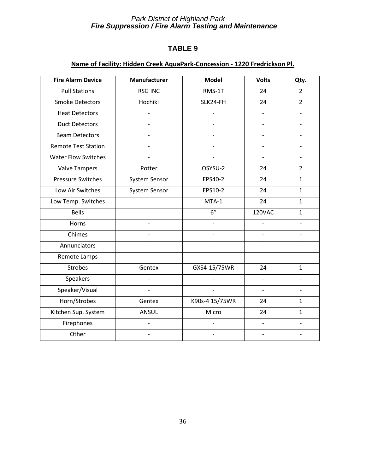# **TABLE 9**

# **Name of Facility: Hidden Creek AquaPark-Concession - 1220 Fredrickson Pl.**

| <b>Fire Alarm Device</b>   | Manufacturer   | <b>Model</b>   | <b>Volts</b>             | Qty.           |
|----------------------------|----------------|----------------|--------------------------|----------------|
| <b>Pull Stations</b>       | <b>RSG INC</b> | RMS-1T         | 24                       | $\overline{2}$ |
| <b>Smoke Detectors</b>     | Hochiki        | SLK24-FH       | 24                       | $\overline{2}$ |
| <b>Heat Detectors</b>      |                |                |                          |                |
| <b>Duct Detectors</b>      |                |                |                          |                |
| <b>Beam Detectors</b>      |                |                |                          |                |
| <b>Remote Test Station</b> |                |                |                          |                |
| <b>Water Flow Switches</b> |                |                |                          |                |
| <b>Valve Tampers</b>       | Potter         | OSYSU-2        | 24                       | $\overline{2}$ |
| <b>Pressure Switches</b>   | System Sensor  | EPS40-2        | 24                       | $\mathbf{1}$   |
| Low Air Switches           | System Sensor  | EPS10-2        | 24                       | $\mathbf{1}$   |
| Low Temp. Switches         |                | MTA-1          | 24                       | $\mathbf{1}$   |
| <b>Bells</b>               |                | 6"             | 120VAC                   | $\mathbf{1}$   |
| Horns                      |                | $\overline{a}$ |                          |                |
| Chimes                     |                |                |                          |                |
| Annunciators               |                |                |                          |                |
| Remote Lamps               |                |                |                          |                |
| <b>Strobes</b>             | Gentex         | GXS4-15/75WR   | 24                       | $\mathbf{1}$   |
| Speakers                   |                |                |                          |                |
| Speaker/Visual             | $\frac{1}{2}$  | $\frac{1}{2}$  | $\overline{\phantom{a}}$ | $\overline{a}$ |
| Horn/Strobes               | Gentex         | K90s-4 15/75WR | 24                       | 1              |
| Kitchen Sup. System        | ANSUL          | Micro          | 24                       | $\mathbf{1}$   |
| Firephones                 | $\overline{a}$ | $\overline{a}$ | $\overline{\phantom{a}}$ |                |
| Other                      |                |                |                          |                |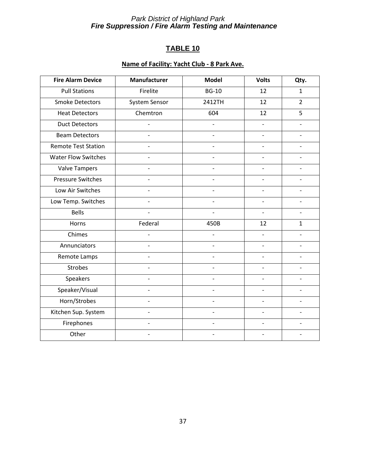# **TABLE 10**

# **Name of Facility: Yacht Club - 8 Park Ave.**

| <b>Fire Alarm Device</b>   | Manufacturer             | <b>Model</b> | <b>Volts</b> | Qty.           |
|----------------------------|--------------------------|--------------|--------------|----------------|
| <b>Pull Stations</b>       | Firelite                 | <b>BG-10</b> | 12           | $\mathbf{1}$   |
| <b>Smoke Detectors</b>     | System Sensor            | 2412TH       | 12           | $\overline{2}$ |
| <b>Heat Detectors</b>      | Chemtron                 | 604          | 12           | 5              |
| <b>Duct Detectors</b>      |                          |              |              |                |
| <b>Beam Detectors</b>      |                          |              |              |                |
| <b>Remote Test Station</b> |                          |              |              |                |
| <b>Water Flow Switches</b> |                          |              |              |                |
| <b>Valve Tampers</b>       |                          |              |              |                |
| <b>Pressure Switches</b>   |                          |              |              |                |
| Low Air Switches           |                          |              |              |                |
| Low Temp. Switches         |                          |              |              |                |
| <b>Bells</b>               |                          |              |              |                |
| Horns                      | Federal                  | 450B         | 12           | $\mathbf{1}$   |
| Chimes                     |                          |              |              |                |
| Annunciators               |                          |              |              |                |
| Remote Lamps               |                          |              |              |                |
| <b>Strobes</b>             |                          |              |              |                |
| Speakers                   |                          |              |              |                |
| Speaker/Visual             | $\overline{\phantom{0}}$ |              |              |                |
| Horn/Strobes               | $\overline{\phantom{0}}$ |              |              |                |
| Kitchen Sup. System        |                          |              |              |                |
| Firephones                 | $\overline{\phantom{0}}$ |              |              |                |
| Other                      |                          |              |              |                |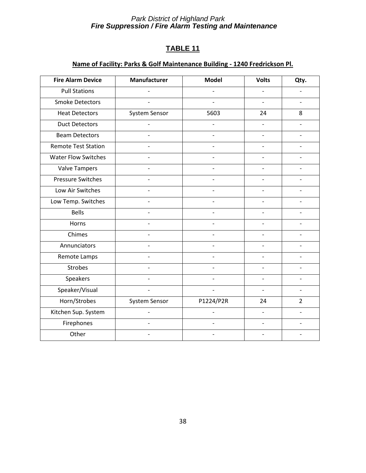# **TABLE 11**

# **Name of Facility: Parks & Golf Maintenance Building - 1240 Fredrickson Pl.**

| <b>Fire Alarm Device</b>   | Manufacturer             | <b>Model</b>             | <b>Volts</b>             | Qty.           |
|----------------------------|--------------------------|--------------------------|--------------------------|----------------|
| <b>Pull Stations</b>       |                          |                          |                          |                |
| <b>Smoke Detectors</b>     |                          |                          |                          |                |
| <b>Heat Detectors</b>      | System Sensor            | 5603                     | 24                       | 8              |
| <b>Duct Detectors</b>      |                          |                          |                          |                |
| <b>Beam Detectors</b>      |                          |                          |                          |                |
| <b>Remote Test Station</b> |                          |                          |                          |                |
| <b>Water Flow Switches</b> |                          |                          |                          |                |
| <b>Valve Tampers</b>       | $\overline{\phantom{0}}$ |                          |                          |                |
| <b>Pressure Switches</b>   |                          |                          |                          |                |
| Low Air Switches           |                          |                          |                          |                |
| Low Temp. Switches         |                          |                          |                          |                |
| <b>Bells</b>               |                          |                          |                          |                |
| Horns                      |                          |                          |                          |                |
| Chimes                     |                          |                          |                          |                |
| Annunciators               |                          |                          |                          |                |
| Remote Lamps               |                          |                          |                          |                |
| <b>Strobes</b>             |                          |                          |                          |                |
| Speakers                   |                          |                          |                          |                |
| Speaker/Visual             | $\overline{\phantom{0}}$ | $\overline{\phantom{0}}$ |                          |                |
| Horn/Strobes               | System Sensor            | P1224/P2R                | 24                       | $\overline{2}$ |
| Kitchen Sup. System        |                          |                          | $\overline{\phantom{0}}$ |                |
| Firephones                 | $\overline{\phantom{a}}$ |                          |                          |                |
| Other                      |                          |                          |                          |                |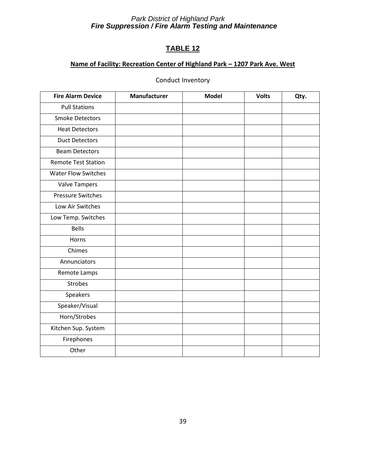# **TABLE 12**

# **Name of Facility: Recreation Center of Highland Park – 1207 Park Ave. West**

# Conduct Inventory

| <b>Fire Alarm Device</b>   | Manufacturer | <b>Model</b> | <b>Volts</b> | Qty. |
|----------------------------|--------------|--------------|--------------|------|
| <b>Pull Stations</b>       |              |              |              |      |
| <b>Smoke Detectors</b>     |              |              |              |      |
| <b>Heat Detectors</b>      |              |              |              |      |
| <b>Duct Detectors</b>      |              |              |              |      |
| <b>Beam Detectors</b>      |              |              |              |      |
| <b>Remote Test Station</b> |              |              |              |      |
| <b>Water Flow Switches</b> |              |              |              |      |
| <b>Valve Tampers</b>       |              |              |              |      |
| <b>Pressure Switches</b>   |              |              |              |      |
| Low Air Switches           |              |              |              |      |
| Low Temp. Switches         |              |              |              |      |
| <b>Bells</b>               |              |              |              |      |
| Horns                      |              |              |              |      |
| Chimes                     |              |              |              |      |
| Annunciators               |              |              |              |      |
| Remote Lamps               |              |              |              |      |
| <b>Strobes</b>             |              |              |              |      |
| Speakers                   |              |              |              |      |
| Speaker/Visual             |              |              |              |      |
| Horn/Strobes               |              |              |              |      |
| Kitchen Sup. System        |              |              |              |      |
| Firephones                 |              |              |              |      |
| Other                      |              |              |              |      |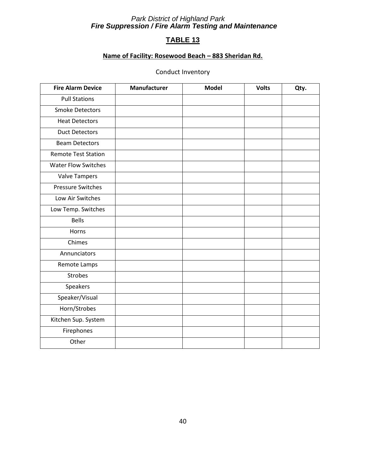# **TABLE 13**

# **Name of Facility: Rosewood Beach – 883 Sheridan Rd.**

# Conduct Inventory

| <b>Fire Alarm Device</b>   | Manufacturer | <b>Model</b> | <b>Volts</b> | Qty. |
|----------------------------|--------------|--------------|--------------|------|
| <b>Pull Stations</b>       |              |              |              |      |
| <b>Smoke Detectors</b>     |              |              |              |      |
| <b>Heat Detectors</b>      |              |              |              |      |
| <b>Duct Detectors</b>      |              |              |              |      |
| <b>Beam Detectors</b>      |              |              |              |      |
| <b>Remote Test Station</b> |              |              |              |      |
| <b>Water Flow Switches</b> |              |              |              |      |
| <b>Valve Tampers</b>       |              |              |              |      |
| <b>Pressure Switches</b>   |              |              |              |      |
| Low Air Switches           |              |              |              |      |
| Low Temp. Switches         |              |              |              |      |
| <b>Bells</b>               |              |              |              |      |
| Horns                      |              |              |              |      |
| Chimes                     |              |              |              |      |
| Annunciators               |              |              |              |      |
| Remote Lamps               |              |              |              |      |
| <b>Strobes</b>             |              |              |              |      |
| Speakers                   |              |              |              |      |
| Speaker/Visual             |              |              |              |      |
| Horn/Strobes               |              |              |              |      |
| Kitchen Sup. System        |              |              |              |      |
| Firephones                 |              |              |              |      |
| Other                      |              |              |              |      |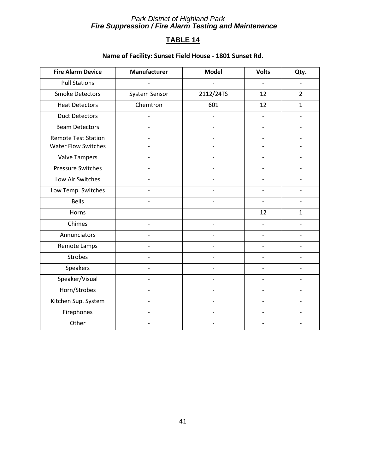# **TABLE 14**

# **Name of Facility: Sunset Field House - 1801 Sunset Rd.**

| <b>Fire Alarm Device</b>   | Manufacturer  | <b>Model</b>   | <b>Volts</b> | Qty.           |
|----------------------------|---------------|----------------|--------------|----------------|
| <b>Pull Stations</b>       |               |                |              |                |
| <b>Smoke Detectors</b>     | System Sensor | 2112/24TS      | 12           | $\overline{2}$ |
| <b>Heat Detectors</b>      | Chemtron      | 601            | 12           | $\mathbf{1}$   |
| <b>Duct Detectors</b>      |               | $\overline{a}$ |              |                |
| <b>Beam Detectors</b>      |               |                |              |                |
| <b>Remote Test Station</b> |               |                |              |                |
| <b>Water Flow Switches</b> |               |                |              |                |
| <b>Valve Tampers</b>       |               |                |              |                |
| <b>Pressure Switches</b>   |               |                |              |                |
| Low Air Switches           |               |                |              |                |
| Low Temp. Switches         |               |                |              |                |
| <b>Bells</b>               |               |                |              |                |
| Horns                      |               |                | 12           | $\mathbf{1}$   |
| Chimes                     |               |                |              |                |
| Annunciators               |               |                |              |                |
| Remote Lamps               |               |                |              |                |
| <b>Strobes</b>             |               |                |              |                |
| Speakers                   |               |                |              |                |
| Speaker/Visual             |               |                |              |                |
| Horn/Strobes               |               |                |              |                |
| Kitchen Sup. System        |               |                |              |                |
| Firephones                 |               |                |              |                |
| Other                      |               |                |              |                |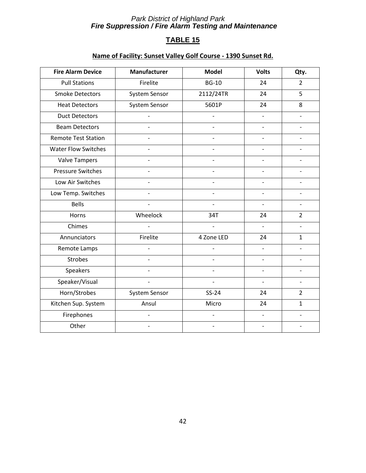# **TABLE 15**

# **Name of Facility: Sunset Valley Golf Course - 1390 Sunset Rd.**

| <b>Fire Alarm Device</b>   | Manufacturer             | <b>Model</b>   | <b>Volts</b>             | Qty.           |
|----------------------------|--------------------------|----------------|--------------------------|----------------|
| <b>Pull Stations</b>       | Firelite                 | <b>BG-10</b>   | 24                       | $\overline{2}$ |
| <b>Smoke Detectors</b>     | System Sensor            | 2112/24TR      | 24                       | 5              |
| <b>Heat Detectors</b>      | System Sensor            | 5601P          | 24                       | 8              |
| <b>Duct Detectors</b>      |                          |                |                          |                |
| <b>Beam Detectors</b>      |                          |                |                          |                |
| <b>Remote Test Station</b> |                          |                |                          |                |
| <b>Water Flow Switches</b> |                          |                |                          |                |
| <b>Valve Tampers</b>       | $\overline{\phantom{a}}$ |                |                          |                |
| <b>Pressure Switches</b>   |                          |                |                          |                |
| Low Air Switches           |                          |                |                          |                |
| Low Temp. Switches         |                          |                |                          |                |
| <b>Bells</b>               |                          |                |                          |                |
| Horns                      | Wheelock                 | 34T            | 24                       | $\overline{2}$ |
| Chimes                     |                          |                |                          |                |
| Annunciators               | Firelite                 | 4 Zone LED     | 24                       | $\mathbf{1}$   |
| Remote Lamps               |                          |                |                          |                |
| <b>Strobes</b>             | $\overline{a}$           |                |                          |                |
| Speakers                   |                          |                |                          |                |
| Speaker/Visual             | $\overline{\phantom{a}}$ | $\overline{a}$ | $\overline{\phantom{a}}$ |                |
| Horn/Strobes               | System Sensor            | $SS-24$        | 24                       | $\overline{2}$ |
| Kitchen Sup. System        | Ansul                    | Micro          | 24                       | $\mathbf{1}$   |
| Firephones                 | $\overline{\phantom{0}}$ |                |                          |                |
| Other                      |                          |                |                          |                |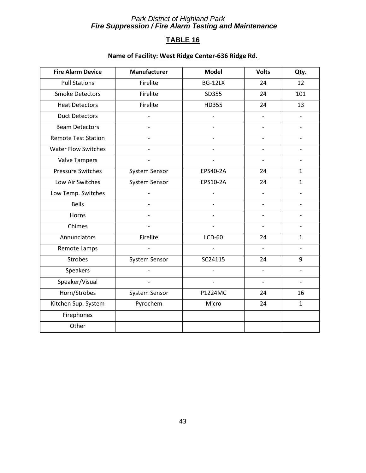# **TABLE 16**

# **Name of Facility: West Ridge Center-636 Ridge Rd.**

| <b>Fire Alarm Device</b>   | Manufacturer   | <b>Model</b>   | <b>Volts</b>   | Qty.                     |
|----------------------------|----------------|----------------|----------------|--------------------------|
| <b>Pull Stations</b>       | Firelite       | BG-12LX        | 24             | 12                       |
| <b>Smoke Detectors</b>     | Firelite       | SD355          | 24             | 101                      |
| <b>Heat Detectors</b>      | Firelite       | HD355          | 24             | 13                       |
| <b>Duct Detectors</b>      |                |                |                |                          |
| <b>Beam Detectors</b>      |                |                |                |                          |
| <b>Remote Test Station</b> |                |                |                |                          |
| <b>Water Flow Switches</b> |                |                |                |                          |
| <b>Valve Tampers</b>       |                |                |                |                          |
| <b>Pressure Switches</b>   | System Sensor  | EPS40-2A       | 24             | $\mathbf{1}$             |
| Low Air Switches           | System Sensor  | EPS10-2A       | 24             | $\mathbf{1}$             |
| Low Temp. Switches         |                |                | $\overline{a}$ |                          |
| <b>Bells</b>               | $\overline{a}$ |                |                |                          |
| Horns                      |                |                |                |                          |
| Chimes                     |                |                |                |                          |
| Annunciators               | Firelite       | <b>LCD-60</b>  | 24             | $\mathbf{1}$             |
| Remote Lamps               |                |                | $\overline{a}$ |                          |
| <b>Strobes</b>             | System Sensor  | SC24115        | 24             | 9                        |
| Speakers                   |                |                |                |                          |
| Speaker/Visual             |                | $\overline{a}$ | $\blacksquare$ | $\overline{\phantom{0}}$ |
| Horn/Strobes               | System Sensor  | P1224MC        | 24             | 16                       |
| Kitchen Sup. System        | Pyrochem       | Micro          | 24             | $\mathbf{1}$             |
| Firephones                 |                |                |                |                          |
| Other                      |                |                |                |                          |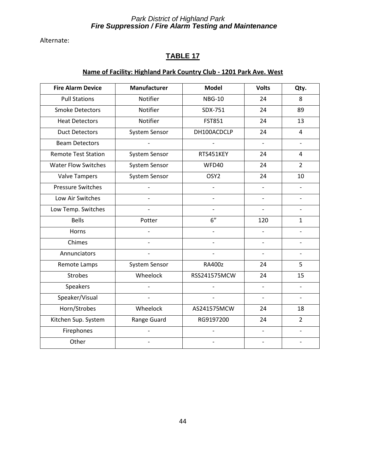Alternate:

# **TABLE 17**

# **Name of Facility: Highland Park Country Club - 1201 Park Ave. West**

| <b>Fire Alarm Device</b>   | Manufacturer   | <b>Model</b>   | <b>Volts</b>   | Qty.                     |
|----------------------------|----------------|----------------|----------------|--------------------------|
| <b>Pull Stations</b>       | Notifier       | <b>NBG-10</b>  | 24             | 8                        |
| <b>Smoke Detectors</b>     | Notifier       | SDX-751        | 24             | 89                       |
| <b>Heat Detectors</b>      | Notifier       | <b>FST851</b>  | 24             | 13                       |
| <b>Duct Detectors</b>      | System Sensor  | DH100ACDCLP    | 24             | 4                        |
| <b>Beam Detectors</b>      |                |                | $\frac{1}{2}$  | $\overline{a}$           |
| <b>Remote Test Station</b> | System Sensor  | RTS451KEY      | 24             | 4                        |
| <b>Water Flow Switches</b> | System Sensor  | WFD40          | 24             | $\overline{2}$           |
| <b>Valve Tampers</b>       | System Sensor  | OSY2           | 24             | 10                       |
| <b>Pressure Switches</b>   |                |                | $\blacksquare$ |                          |
| Low Air Switches           | $\overline{a}$ |                |                |                          |
| Low Temp. Switches         |                |                |                |                          |
| <b>Bells</b>               | Potter         | 6"             | 120            | $\mathbf{1}$             |
| Horns                      |                | $\overline{a}$ |                |                          |
| Chimes                     |                |                |                |                          |
| Annunciators               |                |                |                | $\overline{\phantom{0}}$ |
| Remote Lamps               | System Sensor  | <b>RA400z</b>  | 24             | 5                        |
| <b>Strobes</b>             | Wheelock       | RSS241575MCW   | 24             | 15                       |
| Speakers                   |                |                |                |                          |
| Speaker/Visual             | $\overline{a}$ | $\overline{a}$ | $\blacksquare$ | $\overline{\phantom{a}}$ |
| Horn/Strobes               | Wheelock       | AS241575MCW    | 24             | 18                       |
| Kitchen Sup. System        | Range Guard    | RG9197200      | 24             | $\overline{2}$           |
| Firephones                 |                |                | $\overline{a}$ |                          |
| Other                      |                |                | $\overline{a}$ | $\overline{a}$           |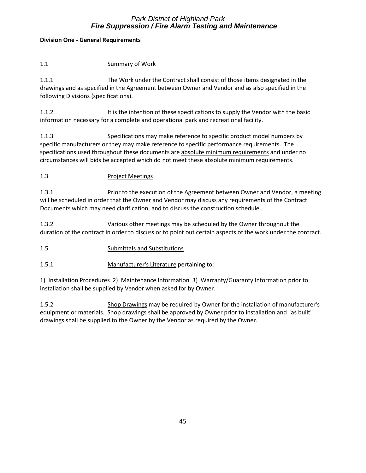#### **Division One - General Requirements**

| Summary of Work |
|-----------------|
|                 |

1.1.1 The Work under the Contract shall consist of those items designated in the drawings and as specified in the Agreement between Owner and Vendor and as also specified in the following Divisions (specifications).

1.1.2 **It is the intention of these specifications to supply the Vendor with the basic** information necessary for a complete and operational park and recreational facility.

1.1.3 Specifications may make reference to specific product model numbers by specific manufacturers or they may make reference to specific performance requirements. The specifications used throughout these documents are absolute minimum requirements and under no circumstances will bids be accepted which do not meet these absolute minimum requirements.

#### 1.3 Project Meetings

1.3.1 Prior to the execution of the Agreement between Owner and Vendor, a meeting will be scheduled in order that the Owner and Vendor may discuss any requirements of the Contract Documents which may need clarification, and to discuss the construction schedule.

1.3.2 Various other meetings may be scheduled by the Owner throughout the duration of the contract in order to discuss or to point out certain aspects of the work under the contract.

- 1.5 Submittals and Substitutions
- 1.5.1 Manufacturer's Literature pertaining to:

1) Installation Procedures 2) Maintenance Information 3) Warranty/Guaranty Information prior to installation shall be supplied by Vendor when asked for by Owner.

1.5.2 Shop Drawings may be required by Owner for the installation of manufacturer's equipment or materials. Shop drawings shall be approved by Owner prior to installation and "as built" drawings shall be supplied to the Owner by the Vendor as required by the Owner.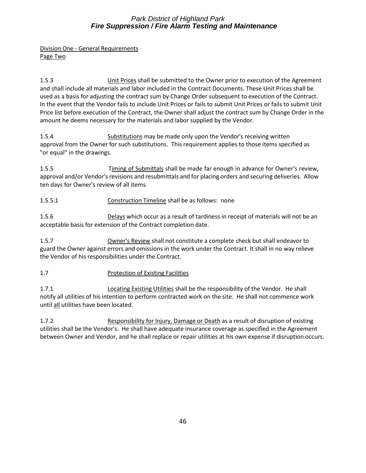Division One - General Requirements Page Two

1.5.3 Unit Prices shall be submitted to the Owner prior to execution of the Agreement and shall include all materials and labor included in the Contract Documents. These Unit Prices shall be used as a basis for adjusting the contract sum by Change Order subsequent to execution of the Contract. In the event that the Vendor fails to include Unit Prices or fails to submit Unit Prices or fails to submit Unit Price list before execution of the Contract, the Owner shall adjust the contract sum by Change Order in the amount he deems necessary for the materials and labor supplied by the Vendor.

1.5.4 Substitutions may be made only upon the Vendor's receiving written approval from the Owner for such substitutions. This requirement applies to those items specified as "or equal" in the drawings.

1.5.5 Timing of Submittals shall be made far enough in advance for Owner's review, approval and/or Vendor's revisions and resubmittals and for placing orders and securing deliveries. Allow ten days for Owner's review of all items.

1.5.5.1 Construction Timeline shall be as follows: none

1.5.6 Delays which occur as a result of tardiness in receipt of materials will not be an acceptable basis for extension of the Contract completion date.

1.5.7 Owner's Review shall not constitute a complete check but shall endeavor to guard the Owner against errors and omissions in the work under the Contract. It shall in no way relieve the Vendor of his responsibilities under the Contract.

1.7 Protection of Existing Facilities

1.7.1 Locating Existing Utilities shall be the responsibility of the Vendor. He shall notify all utilities of his intention to perform contracted work on the site. He shall not commence work until all utilities have been located.

1.7.2 Responsibility for Injury, Damage or Death as a result of disruption of existing utilities shall be the Vendor's. He shall have adequate insurance coverage as specified in the Agreement between Owner and Vendor, and he shall replace or repair utilities at his own expense if disruption occurs.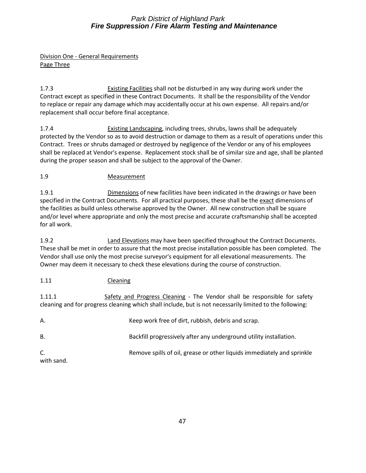Division One - General Requirements Page Three

1.7.3 Existing Facilities shall not be disturbed in any way during work under the Contract except as specified in these Contract Documents. It shall be the responsibility of the Vendor to replace or repair any damage which may accidentally occur at his own expense. All repairs and/or replacement shall occur before final acceptance.

1.7.4 Existing Landscaping, including trees, shrubs, lawns shall be adequately protected by the Vendor so as to avoid destruction or damage to them as a result of operations under this Contract. Trees or shrubs damaged or destroyed by negligence of the Vendor or any of his employees shall be replaced at Vendor's expense. Replacement stock shall be of similar size and age, shall be planted during the proper season and shall be subject to the approval of the Owner.

# 1.9 Measurement

1.9.1 Dimensions of new facilities have been indicated in the drawings or have been specified in the Contract Documents. For all practical purposes, these shall be the exact dimensions of the facilities as build unless otherwise approved by the Owner. All new construction shall be square and/or level where appropriate and only the most precise and accurate craftsmanship shall be accepted for all work.

1.9.2 Land Elevations may have been specified throughout the Contract Documents. These shall be met in order to assure that the most precise installation possible has been completed. The Vendor shall use only the most precise surveyor's equipment for all elevational measurements. The Owner may deem it necessary to check these elevations during the course of construction.

# 1.11 Cleaning

1.11.1 Safety and Progress Cleaning - The Vendor shall be responsible for safety cleaning and for progress cleaning which shall include, but is not necessarily limited to the following:

| Α.               | Keep work free of dirt, rubbish, debris and scrap.                     |
|------------------|------------------------------------------------------------------------|
| В.               | Backfill progressively after any underground utility installation.     |
| C.<br>with sand. | Remove spills of oil, grease or other liquids immediately and sprinkle |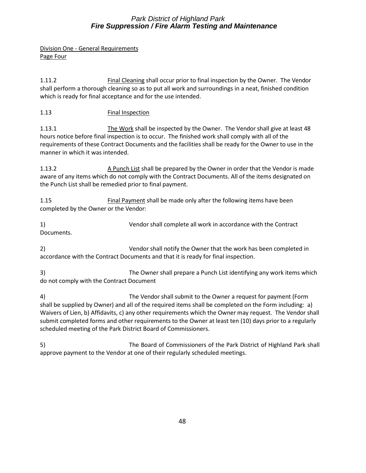Division One - General Requirements Page Four

1.11.2 Final Cleaning shall occur prior to final inspection by the Owner. The Vendor shall perform a thorough cleaning so as to put all work and surroundings in a neat, finished condition which is ready for final acceptance and for the use intended.

# 1.13 Final Inspection

1.13.1 The Work shall be inspected by the Owner. The Vendor shall give at least 48 hours notice before final inspection is to occur. The finished work shall comply with all of the requirements of these Contract Documents and the facilities shall be ready for the Owner to use in the manner in which it was intended.

1.13.2 A Punch List shall be prepared by the Owner in order that the Vendor is made aware of any items which do not comply with the Contract Documents. All of the items designated on the Punch List shall be remedied prior to final payment.

1.15 Final Payment shall be made only after the following items have been completed by the Owner or the Vendor:

1) Vendor shall complete all work in accordance with the Contract Documents.

2) Vendor shall notify the Owner that the work has been completed in accordance with the Contract Documents and that it is ready for final inspection.

3) The Owner shall prepare a Punch List identifying any work items which do not comply with the Contract Document

4) The Vendor shall submit to the Owner a request for payment (Form shall be supplied by Owner) and all of the required items shall be completed on the Form including: a) Waivers of Lien, b) Affidavits, c) any other requirements which the Owner may request. The Vendor shall submit completed forms and other requirements to the Owner at least ten (10) days prior to a regularly scheduled meeting of the Park District Board of Commissioners.

5) The Board of Commissioners of the Park District of Highland Park shall approve payment to the Vendor at one of their regularly scheduled meetings.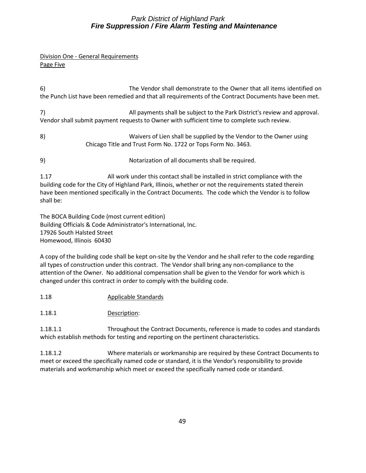#### Division One - General Requirements Page Five

6) The Vendor shall demonstrate to the Owner that all items identified on the Punch List have been remedied and that all requirements of the Contract Documents have been met.

7) All payments shall be subject to the Park District's review and approval. Vendor shall submit payment requests to Owner with sufficient time to complete such review.

- 8) Waivers of Lien shall be supplied by the Vendor to the Owner using Chicago Title and Trust Form No. 1722 or Tops Form No. 3463.
- 9) Notarization of all documents shall be required.

1.17 All work under this contact shall be installed in strict compliance with the building code for the City of Highland Park, Illinois, whether or not the requirements stated therein have been mentioned specifically in the Contract Documents. The code which the Vendor is to follow shall be:

The BOCA Building Code (most current edition) Building Officials & Code Administrator's International, Inc. 17926 South Halsted Street Homewood, Illinois 60430

A copy of the building code shall be kept on-site by the Vendor and he shall refer to the code regarding all types of construction under this contract. The Vendor shall bring any non-compliance to the attention of the Owner. No additional compensation shall be given to the Vendor for work which is changed under this contract in order to comply with the building code.

- 1.18 Applicable Standards
- 1.18.1 Description:

1.18.1.1 Throughout the Contract Documents, reference is made to codes and standards which establish methods for testing and reporting on the pertinent characteristics.

1.18.1.2 Where materials or workmanship are required by these Contract Documents to meet or exceed the specifically named code or standard, it is the Vendor's responsibility to provide materials and workmanship which meet or exceed the specifically named code or standard.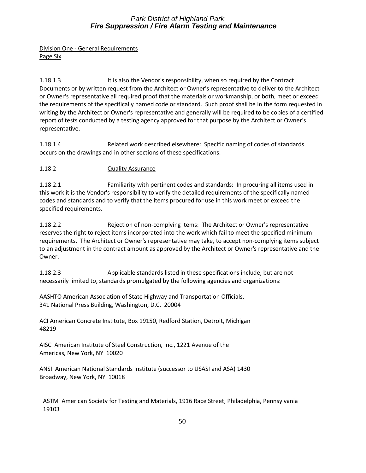Division One - General Requirements Page Six

1.18.1.3 It is also the Vendor's responsibility, when so required by the Contract Documents or by written request from the Architect or Owner's representative to deliver to the Architect or Owner's representative all required proof that the materials or workmanship, or both, meet or exceed the requirements of the specifically named code or standard. Such proof shall be in the form requested in writing by the Architect or Owner's representative and generally will be required to be copies of a certified report of tests conducted by a testing agency approved for that purpose by the Architect or Owner's representative.

1.18.1.4 Related work described elsewhere: Specific naming of codes of standards occurs on the drawings and in other sections of these specifications.

#### 1.18.2 Quality Assurance

1.18.2.1 Familiarity with pertinent codes and standards: In procuring all items used in this work it is the Vendor's responsibility to verify the detailed requirements of the specifically named codes and standards and to verify that the items procured for use in this work meet or exceed the specified requirements.

1.18.2.2 Rejection of non-complying items: The Architect or Owner's representative reserves the right to reject items incorporated into the work which fail to meet the specified minimum requirements. The Architect or Owner's representative may take, to accept non-complying items subject to an adjustment in the contract amount as approved by the Architect or Owner's representative and the Owner.

1.18.2.3 Applicable standards listed in these specifications include, but are not necessarily limited to, standards promulgated by the following agencies and organizations:

AASHTO American Association of State Highway and Transportation Officials, 341 National Press Building, Washington, D.C. 20004

ACI American Concrete Institute, Box 19150, Redford Station, Detroit, Michigan 48219

AISC American Institute of Steel Construction, Inc., 1221 Avenue of the Americas, New York, NY 10020

ANSI American National Standards Institute (successor to USASI and ASA) 1430 Broadway, New York, NY 10018

ASTM American Society for Testing and Materials, 1916 Race Street, Philadelphia, Pennsylvania 19103